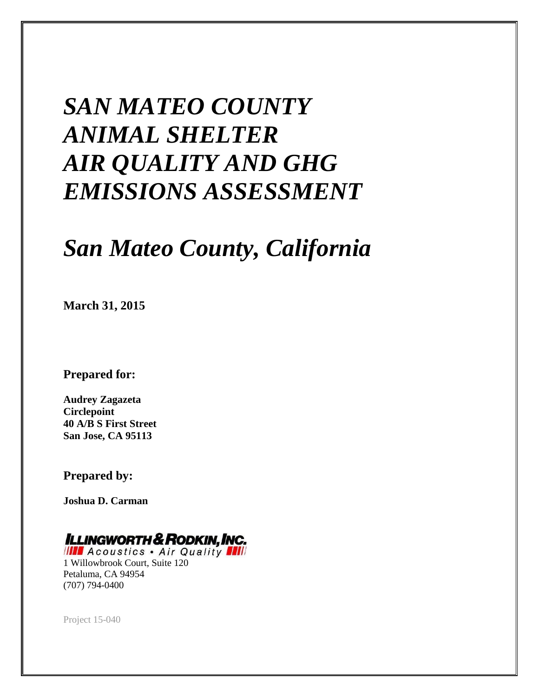# *SAN MATEO COUNTY ANIMAL SHELTER AIR QUALITY AND GHG EMISSIONS ASSESSMENT*

# *San Mateo County, California*

**March 31, 2015** 

**Prepared for:** 

**Audrey Zagazeta Circlepoint 40 A/B S First Street San Jose, CA 95113** 

**Prepared by:** 

**Joshua D. Carman** 

# **ILLINGWORTH & RODKIN, INC.**

**IIII** Acoustics . Air Quality **III** 1 Willowbrook Court, Suite 120 Petaluma, CA 94954 (707) 794-0400

Project 15-040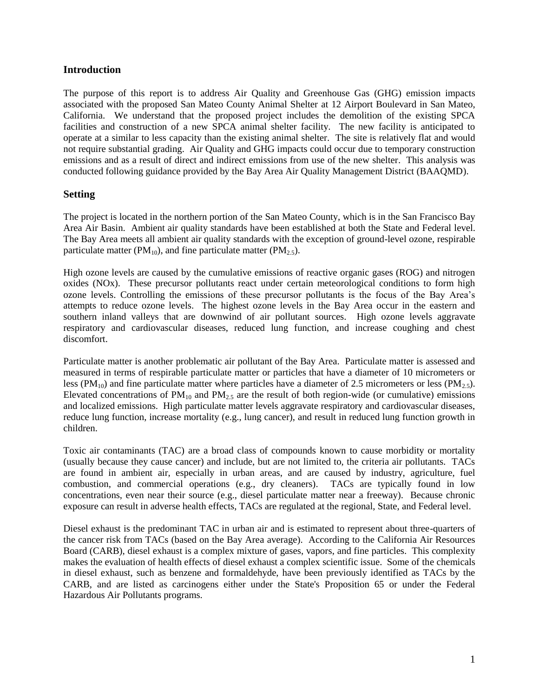#### **Introduction**

The purpose of this report is to address Air Quality and Greenhouse Gas (GHG) emission impacts associated with the proposed San Mateo County Animal Shelter at 12 Airport Boulevard in San Mateo, California. We understand that the proposed project includes the demolition of the existing SPCA facilities and construction of a new SPCA animal shelter facility. The new facility is anticipated to operate at a similar to less capacity than the existing animal shelter. The site is relatively flat and would not require substantial grading. Air Quality and GHG impacts could occur due to temporary construction emissions and as a result of direct and indirect emissions from use of the new shelter. This analysis was conducted following guidance provided by the Bay Area Air Quality Management District (BAAQMD).

#### **Setting**

The project is located in the northern portion of the San Mateo County, which is in the San Francisco Bay Area Air Basin. Ambient air quality standards have been established at both the State and Federal level. The Bay Area meets all ambient air quality standards with the exception of ground-level ozone, respirable particulate matter (PM<sub>10</sub>), and fine particulate matter (PM<sub>2.5</sub>).

High ozone levels are caused by the cumulative emissions of reactive organic gases (ROG) and nitrogen oxides (NOx). These precursor pollutants react under certain meteorological conditions to form high ozone levels. Controlling the emissions of these precursor pollutants is the focus of the Bay Area's attempts to reduce ozone levels. The highest ozone levels in the Bay Area occur in the eastern and southern inland valleys that are downwind of air pollutant sources. High ozone levels aggravate respiratory and cardiovascular diseases, reduced lung function, and increase coughing and chest discomfort.

Particulate matter is another problematic air pollutant of the Bay Area. Particulate matter is assessed and measured in terms of respirable particulate matter or particles that have a diameter of 10 micrometers or less (PM<sub>10</sub>) and fine particulate matter where particles have a diameter of 2.5 micrometers or less (PM<sub>2.5</sub>). Elevated concentrations of  $PM_{10}$  and  $PM_{2.5}$  are the result of both region-wide (or cumulative) emissions and localized emissions. High particulate matter levels aggravate respiratory and cardiovascular diseases, reduce lung function, increase mortality (e.g., lung cancer), and result in reduced lung function growth in children.

Toxic air contaminants (TAC) are a broad class of compounds known to cause morbidity or mortality (usually because they cause cancer) and include, but are not limited to, the criteria air pollutants. TACs are found in ambient air, especially in urban areas, and are caused by industry, agriculture, fuel combustion, and commercial operations (e.g., dry cleaners). TACs are typically found in low concentrations, even near their source (e.g., diesel particulate matter near a freeway). Because chronic exposure can result in adverse health effects, TACs are regulated at the regional, State, and Federal level.

Diesel exhaust is the predominant TAC in urban air and is estimated to represent about three-quarters of the cancer risk from TACs (based on the Bay Area average). According to the California Air Resources Board (CARB), diesel exhaust is a complex mixture of gases, vapors, and fine particles. This complexity makes the evaluation of health effects of diesel exhaust a complex scientific issue. Some of the chemicals in diesel exhaust, such as benzene and formaldehyde, have been previously identified as TACs by the CARB, and are listed as carcinogens either under the State's Proposition 65 or under the Federal Hazardous Air Pollutants programs.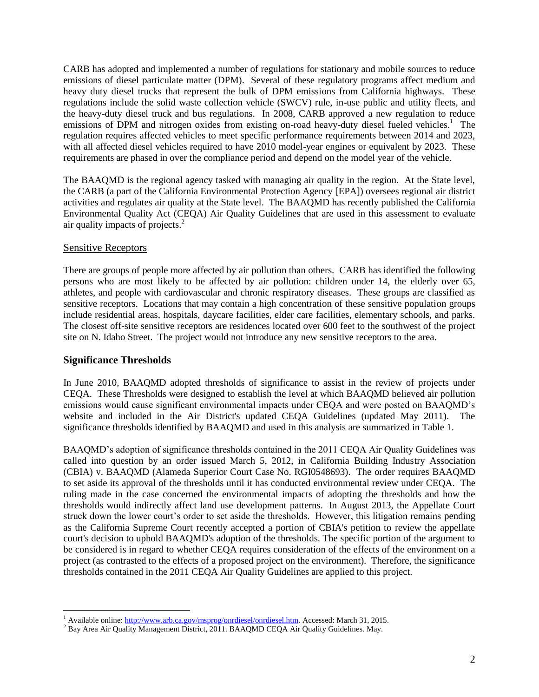CARB has adopted and implemented a number of regulations for stationary and mobile sources to reduce emissions of diesel particulate matter (DPM). Several of these regulatory programs affect medium and heavy duty diesel trucks that represent the bulk of DPM emissions from California highways. These regulations include the solid waste collection vehicle (SWCV) rule, in-use public and utility fleets, and the heavy-duty diesel truck and bus regulations. In 2008, CARB approved a new regulation to reduce emissions of DPM and nitrogen oxides from existing on-road heavy-duty diesel fueled vehicles.<sup>1</sup> The regulation requires affected vehicles to meet specific performance requirements between 2014 and 2023, with all affected diesel vehicles required to have 2010 model-year engines or equivalent by 2023. These requirements are phased in over the compliance period and depend on the model year of the vehicle.

The BAAQMD is the regional agency tasked with managing air quality in the region. At the State level, the CARB (a part of the California Environmental Protection Agency [EPA]) oversees regional air district activities and regulates air quality at the State level. The BAAQMD has recently published the California Environmental Quality Act (CEQA) Air Quality Guidelines that are used in this assessment to evaluate air quality impacts of projects. $<sup>2</sup>$ </sup>

#### Sensitive Receptors

There are groups of people more affected by air pollution than others. CARB has identified the following persons who are most likely to be affected by air pollution: children under 14, the elderly over 65, athletes, and people with cardiovascular and chronic respiratory diseases. These groups are classified as sensitive receptors. Locations that may contain a high concentration of these sensitive population groups include residential areas, hospitals, daycare facilities, elder care facilities, elementary schools, and parks. The closest off-site sensitive receptors are residences located over 600 feet to the southwest of the project site on N. Idaho Street. The project would not introduce any new sensitive receptors to the area.

#### **Significance Thresholds**

 $\overline{a}$ 

In June 2010, BAAQMD adopted thresholds of significance to assist in the review of projects under CEQA. These Thresholds were designed to establish the level at which BAAQMD believed air pollution emissions would cause significant environmental impacts under CEQA and were posted on BAAQMD's website and included in the Air District's updated CEQA Guidelines (updated May 2011). The significance thresholds identified by BAAQMD and used in this analysis are summarized in Table 1.

BAAQMD's adoption of significance thresholds contained in the 2011 CEQA Air Quality Guidelines was called into question by an order issued March 5, 2012, in California Building Industry Association (CBIA) v. BAAQMD (Alameda Superior Court Case No. RGI0548693). The order requires BAAQMD to set aside its approval of the thresholds until it has conducted environmental review under CEQA. The ruling made in the case concerned the environmental impacts of adopting the thresholds and how the thresholds would indirectly affect land use development patterns. In August 2013, the Appellate Court struck down the lower court's order to set aside the thresholds. However, this litigation remains pending as the California Supreme Court recently accepted a portion of CBIA's petition to review the appellate court's decision to uphold BAAQMD's adoption of the thresholds. The specific portion of the argument to be considered is in regard to whether CEQA requires consideration of the effects of the environment on a project (as contrasted to the effects of a proposed project on the environment). Therefore, the significance thresholds contained in the 2011 CEQA Air Quality Guidelines are applied to this project.

<sup>&</sup>lt;sup>1</sup> Available online[: http://www.arb.ca.gov/msprog/onrdiesel/onrdiesel.htm.](http://www.arb.ca.gov/msprog/onrdiesel/onrdiesel.htm) Accessed: March 31, 2015.

<sup>&</sup>lt;sup>2</sup> Bay Area Air Quality Management District, 2011. BAAQMD CEQA Air Quality Guidelines. May.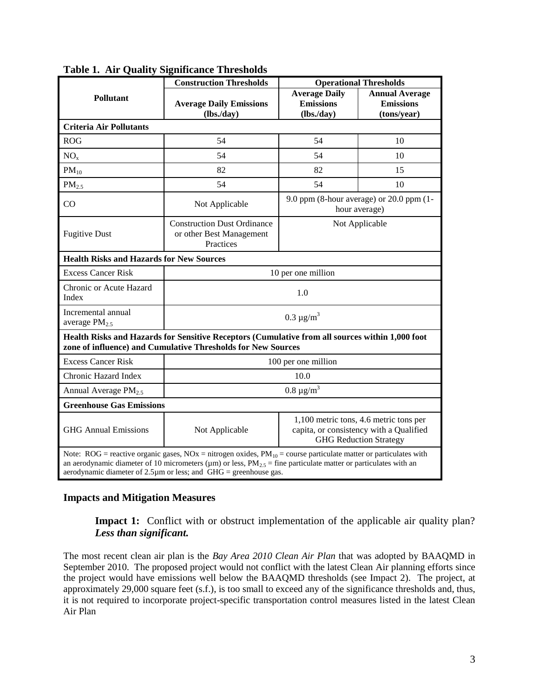|                                                 | <b>Construction Thresholds</b>                                                                                                                                                                                                                                                                                                      |                                                                                                                    | <b>Operational Thresholds</b>                               |  |  |  |  |
|-------------------------------------------------|-------------------------------------------------------------------------------------------------------------------------------------------------------------------------------------------------------------------------------------------------------------------------------------------------------------------------------------|--------------------------------------------------------------------------------------------------------------------|-------------------------------------------------------------|--|--|--|--|
| <b>Pollutant</b>                                | <b>Average Daily Emissions</b><br>(lbs.day)                                                                                                                                                                                                                                                                                         | <b>Average Daily</b><br><b>Emissions</b><br>(lbs.day)                                                              | <b>Annual Average</b><br><b>Emissions</b><br>(tons/year)    |  |  |  |  |
| <b>Criteria Air Pollutants</b>                  |                                                                                                                                                                                                                                                                                                                                     |                                                                                                                    |                                                             |  |  |  |  |
| <b>ROG</b>                                      | 54                                                                                                                                                                                                                                                                                                                                  | 54                                                                                                                 | 10                                                          |  |  |  |  |
| NO <sub>x</sub>                                 | 54                                                                                                                                                                                                                                                                                                                                  | 54                                                                                                                 | 10                                                          |  |  |  |  |
| $PM_{10}$                                       | 82                                                                                                                                                                                                                                                                                                                                  | 82                                                                                                                 | 15                                                          |  |  |  |  |
| PM <sub>2.5</sub>                               | 54                                                                                                                                                                                                                                                                                                                                  | 54                                                                                                                 | 10                                                          |  |  |  |  |
| CO                                              | Not Applicable                                                                                                                                                                                                                                                                                                                      |                                                                                                                    | 9.0 ppm (8-hour average) or $20.0$ ppm (1-<br>hour average) |  |  |  |  |
| <b>Fugitive Dust</b>                            | <b>Construction Dust Ordinance</b><br>or other Best Management<br>Practices                                                                                                                                                                                                                                                         | Not Applicable                                                                                                     |                                                             |  |  |  |  |
| <b>Health Risks and Hazards for New Sources</b> |                                                                                                                                                                                                                                                                                                                                     |                                                                                                                    |                                                             |  |  |  |  |
| <b>Excess Cancer Risk</b>                       |                                                                                                                                                                                                                                                                                                                                     | 10 per one million                                                                                                 |                                                             |  |  |  |  |
| Chronic or Acute Hazard<br>Index                |                                                                                                                                                                                                                                                                                                                                     | 1.0                                                                                                                |                                                             |  |  |  |  |
| Incremental annual<br>average PM <sub>2.5</sub> |                                                                                                                                                                                                                                                                                                                                     | $0.3 \mu g/m^3$                                                                                                    |                                                             |  |  |  |  |
|                                                 | Health Risks and Hazards for Sensitive Receptors (Cumulative from all sources within 1,000 foot<br>zone of influence) and Cumulative Thresholds for New Sources                                                                                                                                                                     |                                                                                                                    |                                                             |  |  |  |  |
| <b>Excess Cancer Risk</b>                       |                                                                                                                                                                                                                                                                                                                                     | 100 per one million                                                                                                |                                                             |  |  |  |  |
| Chronic Hazard Index                            |                                                                                                                                                                                                                                                                                                                                     | 10.0                                                                                                               |                                                             |  |  |  |  |
| Annual Average PM <sub>2.5</sub>                |                                                                                                                                                                                                                                                                                                                                     | $0.8 \ \mu g/m^3$                                                                                                  |                                                             |  |  |  |  |
| <b>Greenhouse Gas Emissions</b>                 |                                                                                                                                                                                                                                                                                                                                     |                                                                                                                    |                                                             |  |  |  |  |
| <b>GHG Annual Emissions</b>                     | Not Applicable                                                                                                                                                                                                                                                                                                                      | 1,100 metric tons, 4.6 metric tons per<br>capita, or consistency with a Qualified<br><b>GHG Reduction Strategy</b> |                                                             |  |  |  |  |
|                                                 | Note: ROG = reactive organic gases, NOx = nitrogen oxides, $PM_{10}$ = course particulate matter or particulates with<br>an aerodynamic diameter of 10 micrometers ( $\mu$ m) or less, PM <sub>2.5</sub> = fine particulate matter or particulates with an<br>aerodynamic diameter of $2.5\mu$ m or less; and GHG = greenhouse gas. |                                                                                                                    |                                                             |  |  |  |  |

**Table 1. Air Quality Significance Thresholds**

#### **Impacts and Mitigation Measures**

**Impact 1:** Conflict with or obstruct implementation of the applicable air quality plan? *Less than significant.*

The most recent clean air plan is the *Bay Area 2010 Clean Air Plan* that was adopted by BAAQMD in September 2010. The proposed project would not conflict with the latest Clean Air planning efforts since the project would have emissions well below the BAAQMD thresholds (see Impact 2). The project, at approximately 29,000 square feet (s.f.), is too small to exceed any of the significance thresholds and, thus, it is not required to incorporate project-specific transportation control measures listed in the latest Clean Air Plan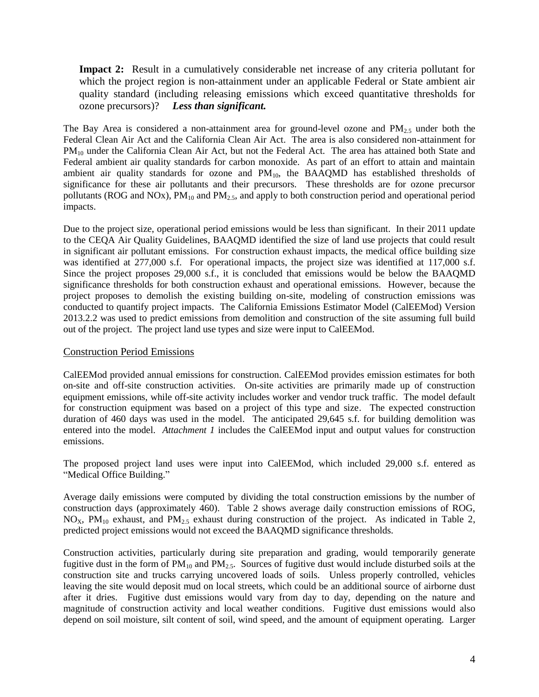**Impact 2:** Result in a cumulatively considerable net increase of any criteria pollutant for which the project region is non-attainment under an applicable Federal or State ambient air quality standard (including releasing emissions which exceed quantitative thresholds for ozone precursors)? *Less than significant.*

The Bay Area is considered a non-attainment area for ground-level ozone and  $PM_{2.5}$  under both the Federal Clean Air Act and the California Clean Air Act. The area is also considered non-attainment for PM<sub>10</sub> under the California Clean Air Act, but not the Federal Act. The area has attained both State and Federal ambient air quality standards for carbon monoxide. As part of an effort to attain and maintain ambient air quality standards for ozone and  $PM_{10}$ , the BAAQMD has established thresholds of significance for these air pollutants and their precursors. These thresholds are for ozone precursor pollutants (ROG and NOx),  $PM_{10}$  and  $PM_{2.5}$ , and apply to both construction period and operational period impacts.

Due to the project size, operational period emissions would be less than significant. In their 2011 update to the CEQA Air Quality Guidelines, BAAQMD identified the size of land use projects that could result in significant air pollutant emissions. For construction exhaust impacts, the medical office building size was identified at 277,000 s.f. For operational impacts, the project size was identified at 117,000 s.f. Since the project proposes 29,000 s.f., it is concluded that emissions would be below the BAAQMD significance thresholds for both construction exhaust and operational emissions. However, because the project proposes to demolish the existing building on-site, modeling of construction emissions was conducted to quantify project impacts. The California Emissions Estimator Model (CalEEMod) Version 2013.2.2 was used to predict emissions from demolition and construction of the site assuming full build out of the project. The project land use types and size were input to CalEEMod.

#### Construction Period Emissions

CalEEMod provided annual emissions for construction. CalEEMod provides emission estimates for both on-site and off-site construction activities. On-site activities are primarily made up of construction equipment emissions, while off-site activity includes worker and vendor truck traffic. The model default for construction equipment was based on a project of this type and size. The expected construction duration of 460 days was used in the model. The anticipated 29,645 s.f. for building demolition was entered into the model. *Attachment 1* includes the CalEEMod input and output values for construction emissions.

The proposed project land uses were input into CalEEMod, which included 29,000 s.f. entered as "Medical Office Building."

Average daily emissions were computed by dividing the total construction emissions by the number of construction days (approximately 460). Table 2 shows average daily construction emissions of ROG,  $NO<sub>X</sub>$ ,  $PM<sub>10</sub>$  exhaust, and  $PM<sub>2.5</sub>$  exhaust during construction of the project. As indicated in Table 2, predicted project emissions would not exceed the BAAQMD significance thresholds.

Construction activities, particularly during site preparation and grading, would temporarily generate fugitive dust in the form of  $PM_{10}$  and  $PM_{2.5}$ . Sources of fugitive dust would include disturbed soils at the construction site and trucks carrying uncovered loads of soils. Unless properly controlled, vehicles leaving the site would deposit mud on local streets, which could be an additional source of airborne dust after it dries. Fugitive dust emissions would vary from day to day, depending on the nature and magnitude of construction activity and local weather conditions. Fugitive dust emissions would also depend on soil moisture, silt content of soil, wind speed, and the amount of equipment operating. Larger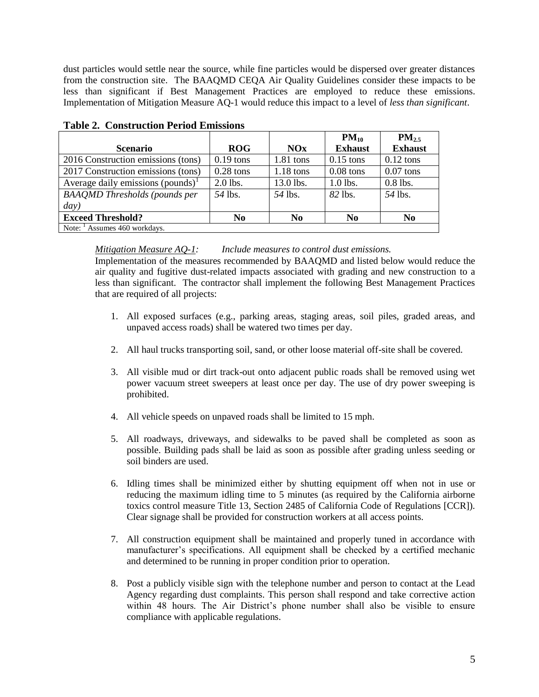dust particles would settle near the source, while fine particles would be dispersed over greater distances from the construction site. The BAAQMD CEQA Air Quality Guidelines consider these impacts to be less than significant if Best Management Practices are employed to reduce these emissions. Implementation of Mitigation Measure AQ-1 would reduce this impact to a level of *less than significant*.

|                                               |                |                | $PM_{10}$      | $PM_{2.5}$     |
|-----------------------------------------------|----------------|----------------|----------------|----------------|
| <b>Scenario</b>                               | <b>ROG</b>     | NOx            | <b>Exhaust</b> | <b>Exhaust</b> |
| 2016 Construction emissions (tons)            | $0.19$ tons    | $1.81$ tons    | $0.15$ tons    | $0.12$ tons    |
| 2017 Construction emissions (tons)            | $0.28$ tons    | $1.18$ tons    | $0.08$ tons    | $0.07$ tons    |
| Average daily emissions (pounds) <sup>1</sup> | 2.0 lbs.       | 13.0 lbs.      | 1.0 lbs.       | $0.8$ lbs.     |
| <b>BAAQMD</b> Thresholds (pounds per          | 54 lbs.        | .54 lbs.       | 82 lbs.        | 54 lbs.        |
| day)                                          |                |                |                |                |
| <b>Exceed Threshold?</b>                      | N <sub>0</sub> | N <sub>0</sub> | N <sub>0</sub> | N <sub>0</sub> |
| Note: $\frac{1}{1}$ Assumes 460 workdays.     |                |                |                |                |

| <b>Table 2. Construction Period Emissions</b> |  |
|-----------------------------------------------|--|
|                                               |  |

#### *Mitigation Measure AQ-1: Include measures to control dust emissions.*

Implementation of the measures recommended by BAAQMD and listed below would reduce the air quality and fugitive dust-related impacts associated with grading and new construction to a less than significant. The contractor shall implement the following Best Management Practices that are required of all projects:

- 1. All exposed surfaces (e.g., parking areas, staging areas, soil piles, graded areas, and unpaved access roads) shall be watered two times per day.
- 2. All haul trucks transporting soil, sand, or other loose material off-site shall be covered.
- 3. All visible mud or dirt track-out onto adjacent public roads shall be removed using wet power vacuum street sweepers at least once per day. The use of dry power sweeping is prohibited.
- 4. All vehicle speeds on unpaved roads shall be limited to 15 mph.
- 5. All roadways, driveways, and sidewalks to be paved shall be completed as soon as possible. Building pads shall be laid as soon as possible after grading unless seeding or soil binders are used.
- 6. Idling times shall be minimized either by shutting equipment off when not in use or reducing the maximum idling time to 5 minutes (as required by the California airborne toxics control measure Title 13, Section 2485 of California Code of Regulations [CCR]). Clear signage shall be provided for construction workers at all access points.
- 7. All construction equipment shall be maintained and properly tuned in accordance with manufacturer's specifications. All equipment shall be checked by a certified mechanic and determined to be running in proper condition prior to operation.
- 8. Post a publicly visible sign with the telephone number and person to contact at the Lead Agency regarding dust complaints. This person shall respond and take corrective action within 48 hours. The Air District's phone number shall also be visible to ensure compliance with applicable regulations.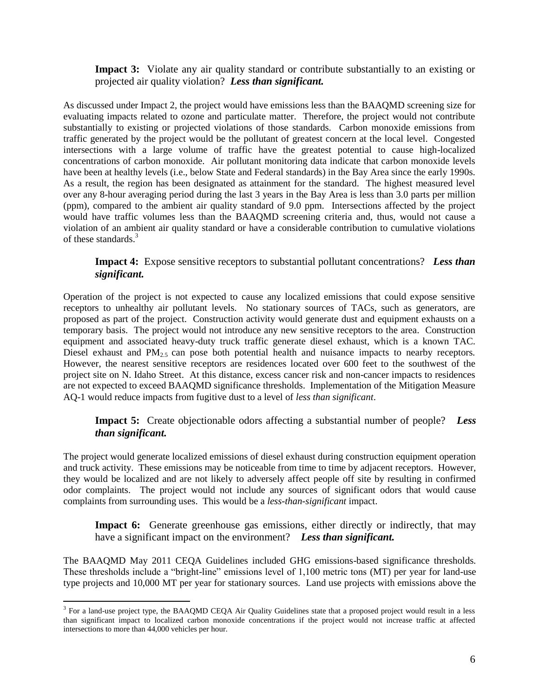**Impact 3:** Violate any air quality standard or contribute substantially to an existing or projected air quality violation? *Less than significant.*

As discussed under Impact 2, the project would have emissions less than the BAAQMD screening size for evaluating impacts related to ozone and particulate matter. Therefore, the project would not contribute substantially to existing or projected violations of those standards. Carbon monoxide emissions from traffic generated by the project would be the pollutant of greatest concern at the local level. Congested intersections with a large volume of traffic have the greatest potential to cause high-localized concentrations of carbon monoxide. Air pollutant monitoring data indicate that carbon monoxide levels have been at healthy levels (i.e., below State and Federal standards) in the Bay Area since the early 1990s. As a result, the region has been designated as attainment for the standard. The highest measured level over any 8-hour averaging period during the last 3 years in the Bay Area is less than 3.0 parts per million (ppm), compared to the ambient air quality standard of 9.0 ppm. Intersections affected by the project would have traffic volumes less than the BAAQMD screening criteria and, thus, would not cause a violation of an ambient air quality standard or have a considerable contribution to cumulative violations of these standards.<sup>3</sup>

**Impact 4:** Expose sensitive receptors to substantial pollutant concentrations? *Less than significant.*

Operation of the project is not expected to cause any localized emissions that could expose sensitive receptors to unhealthy air pollutant levels. No stationary sources of TACs, such as generators, are proposed as part of the project. Construction activity would generate dust and equipment exhausts on a temporary basis. The project would not introduce any new sensitive receptors to the area. Construction equipment and associated heavy-duty truck traffic generate diesel exhaust, which is a known TAC. Diesel exhaust and  $PM_{2.5}$  can pose both potential health and nuisance impacts to nearby receptors. However, the nearest sensitive receptors are residences located over 600 feet to the southwest of the project site on N. Idaho Street. At this distance, excess cancer risk and non-cancer impacts to residences are not expected to exceed BAAQMD significance thresholds. Implementation of the Mitigation Measure AQ-1 would reduce impacts from fugitive dust to a level of *less than significant*.

**Impact 5:** Create objectionable odors affecting a substantial number of people? *Less than significant.*

The project would generate localized emissions of diesel exhaust during construction equipment operation and truck activity. These emissions may be noticeable from time to time by adjacent receptors. However, they would be localized and are not likely to adversely affect people off site by resulting in confirmed odor complaints. The project would not include any sources of significant odors that would cause complaints from surrounding uses. This would be a *less-than-significant* impact.

Impact 6: Generate greenhouse gas emissions, either directly or indirectly, that may have a significant impact on the environment? *Less than significant.*

The BAAQMD May 2011 CEQA Guidelines included GHG emissions-based significance thresholds. These thresholds include a "bright-line" emissions level of 1,100 metric tons (MT) per year for land-use type projects and 10,000 MT per year for stationary sources. Land use projects with emissions above the

 $\overline{a}$ 

<sup>&</sup>lt;sup>3</sup> For a land-use project type, the BAAQMD CEQA Air Quality Guidelines state that a proposed project would result in a less than significant impact to localized carbon monoxide concentrations if the project would not increase traffic at affected intersections to more than 44,000 vehicles per hour.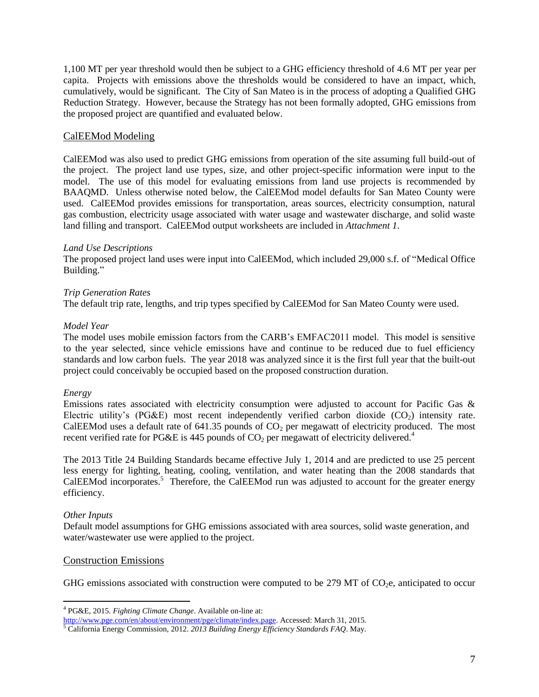1,100 MT per year threshold would then be subject to a GHG efficiency threshold of 4.6 MT per year per capita. Projects with emissions above the thresholds would be considered to have an impact, which, cumulatively, would be significant. The City of San Mateo is in the process of adopting a Qualified GHG Reduction Strategy. However, because the Strategy has not been formally adopted, GHG emissions from the proposed project are quantified and evaluated below.

#### CalEEMod Modeling

CalEEMod was also used to predict GHG emissions from operation of the site assuming full build-out of the project. The project land use types, size, and other project-specific information were input to the model. The use of this model for evaluating emissions from land use projects is recommended by BAAQMD. Unless otherwise noted below, the CalEEMod model defaults for San Mateo County were used. CalEEMod provides emissions for transportation, areas sources, electricity consumption, natural gas combustion, electricity usage associated with water usage and wastewater discharge, and solid waste land filling and transport. CalEEMod output worksheets are included in *Attachment 1*.

#### *Land Use Descriptions*

The proposed project land uses were input into CalEEMod, which included 29,000 s.f. of "Medical Office Building."

#### *Trip Generation Rates*

The default trip rate, lengths, and trip types specified by CalEEMod for San Mateo County were used.

#### *Model Year*

The model uses mobile emission factors from the CARB's EMFAC2011 model. This model is sensitive to the year selected, since vehicle emissions have and continue to be reduced due to fuel efficiency standards and low carbon fuels. The year 2018 was analyzed since it is the first full year that the built-out project could conceivably be occupied based on the proposed construction duration.

#### *Energy*

Emissions rates associated with electricity consumption were adjusted to account for Pacific Gas & Electric utility's (PG&E) most recent independently verified carbon dioxide  $(CO<sub>2</sub>)$  intensity rate. CalEEMod uses a default rate of  $641.35$  pounds of  $CO<sub>2</sub>$  per megawatt of electricity produced. The most recent verified rate for PG&E is 445 pounds of  $CO<sub>2</sub>$  per megawatt of electricity delivered.<sup>4</sup>

The 2013 Title 24 Building Standards became effective July 1, 2014 and are predicted to use 25 percent less energy for lighting, heating, cooling, ventilation, and water heating than the 2008 standards that CalEEMod incorporates.<sup>5</sup> Therefore, the CalEEMod run was adjusted to account for the greater energy efficiency.

#### *Other Inputs*

 $\overline{a}$ 

Default model assumptions for GHG emissions associated with area sources, solid waste generation, and water/wastewater use were applied to the project.

#### Construction Emissions

GHG emissions associated with construction were computed to be 279 MT of  $CO<sub>2</sub>e$ , anticipated to occur

<sup>4</sup> PG&E, 2015. *Fighting Climate Change*. Available on-line at:

[http://www.pge.com/en/about/environment/pge/climate/index.page.](http://www.pge.com/en/about/environment/pge/climate/index.page) Accessed: March 31, 2015.

<sup>5</sup> California Energy Commission, 2012. *2013 Building Energy Efficiency Standards FAQ*. May.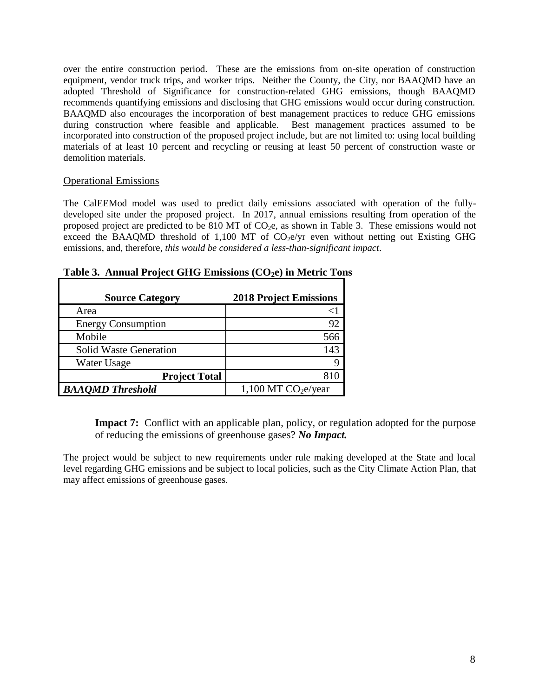over the entire construction period. These are the emissions from on-site operation of construction equipment, vendor truck trips, and worker trips. Neither the County, the City, nor BAAQMD have an adopted Threshold of Significance for construction-related GHG emissions, though BAAQMD recommends quantifying emissions and disclosing that GHG emissions would occur during construction. BAAQMD also encourages the incorporation of best management practices to reduce GHG emissions during construction where feasible and applicable. Best management practices assumed to be incorporated into construction of the proposed project include, but are not limited to: using local building materials of at least 10 percent and recycling or reusing at least 50 percent of construction waste or demolition materials.

#### Operational Emissions

The CalEEMod model was used to predict daily emissions associated with operation of the fullydeveloped site under the proposed project. In 2017, annual emissions resulting from operation of the proposed project are predicted to be 810 MT of  $CO<sub>2</sub>e$ , as shown in Table 3. These emissions would not exceed the BAAQMD threshold of 1,100 MT of  $CO<sub>2</sub>e/yr$  even without netting out Existing GHG emissions, and, therefore, *this would be considered a less-than-significant impact*.

| <b>Source Category</b>        | <b>2018 Project Emissions</b>     |
|-------------------------------|-----------------------------------|
| Area                          |                                   |
| <b>Energy Consumption</b>     | 92                                |
| Mobile                        | 566                               |
| <b>Solid Waste Generation</b> | 143                               |
| Water Usage                   |                                   |
| <b>Project Total</b>          |                                   |
| <b>BAAQMD</b> Threshold       | $1,100$ MT CO <sub>2</sub> e/year |

**Table 3. Annual Project GHG Emissions (CO2e) in Metric Tons**

**Impact 7:** Conflict with an applicable plan, policy, or regulation adopted for the purpose of reducing the emissions of greenhouse gases? *No Impact.*

The project would be subject to new requirements under rule making developed at the State and local level regarding GHG emissions and be subject to local policies, such as the City Climate Action Plan, that may affect emissions of greenhouse gases.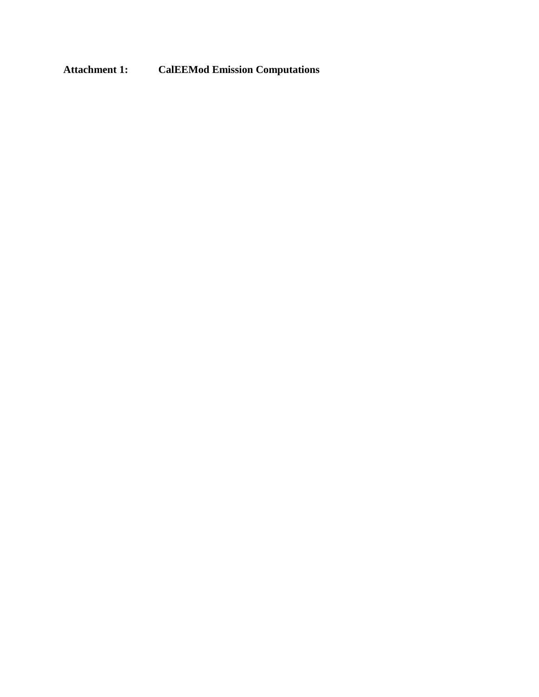## **Attachment 1: CalEEMod Emission Computations**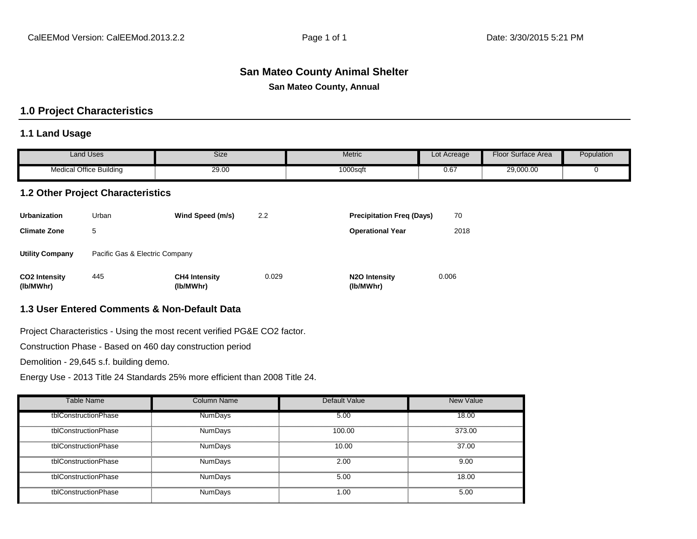# **San Mateo County Animal Shelter**

**San Mateo County, Annual**

## **1.0 Project Characteristics**

#### **1.1 Land Usage**

|                                   | <b>Land Uses</b>                         | <b>Size</b>                                  |       | Metric                           | Lot Acreage | <b>Floor Surface Area</b> | Population |
|-----------------------------------|------------------------------------------|----------------------------------------------|-------|----------------------------------|-------------|---------------------------|------------|
|                                   | <b>Medical Office Building</b>           | 29.00                                        |       | 1000sqft                         | 0.67        | 29,000.00                 | $\Omega$   |
|                                   | <b>1.2 Other Project Characteristics</b> |                                              |       |                                  |             |                           |            |
| <b>Urbanization</b>               | Urban                                    | Wind Speed (m/s)                             | 2.2   | <b>Precipitation Freq (Days)</b> | 70          |                           |            |
| <b>Climate Zone</b>               | 5                                        |                                              |       | <b>Operational Year</b>          | 2018        |                           |            |
| <b>Utility Company</b>            | Pacific Gas & Electric Company           |                                              |       |                                  |             |                           |            |
| <b>CO2 Intensity</b><br>(lb/MWhr) | 445                                      | <b>CH4 Intensity</b><br>(lb/MWhr)            | 0.029 | N2O Intensity<br>(lb/MWhr)       | 0.006       |                           |            |
|                                   |                                          | 1.3 User Entered Comments & Non-Default Data |       |                                  |             |                           |            |

Project Characteristics - Using the most recent verified PG&E CO2 factor.

Construction Phase - Based on 460 day construction period

Demolition - 29,645 s.f. building demo.

Energy Use - 2013 Title 24 Standards 25% more efficient than 2008 Title 24.

| <b>Table Name</b>    | Column Name    | Default Value | <b>New Value</b> |
|----------------------|----------------|---------------|------------------|
| tblConstructionPhase | <b>NumDays</b> | 5.00          | 18.00            |
| tblConstructionPhase | <b>NumDays</b> | 100.00        | 373.00           |
| tblConstructionPhase | NumDays        | 10.00         | 37.00            |
| tblConstructionPhase | <b>NumDays</b> | 2.00          | 9.00             |
| tblConstructionPhase | <b>NumDays</b> | 5.00          | 18.00            |
| tblConstructionPhase | <b>NumDays</b> | 1.00          | 5.00             |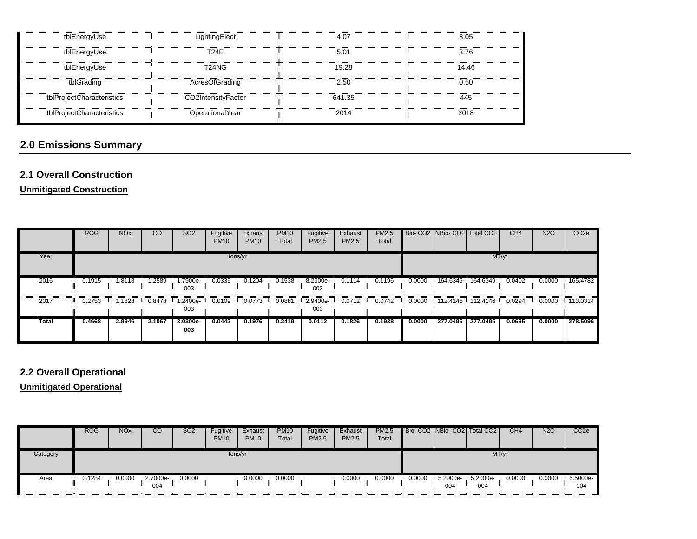| tblEnergyUse              | LightingElect      | 4.07   | 3.05  |
|---------------------------|--------------------|--------|-------|
| tblEnergyUse              | <b>T24E</b>        | 5.01   | 3.76  |
| tblEnergyUse              | T24NG              | 19.28  | 14.46 |
| tblGrading                | AcresOfGrading     | 2.50   | 0.50  |
| tblProjectCharacteristics | CO2IntensityFactor | 641.35 | 445   |
| tblProjectCharacteristics | OperationalYear    | 2014   | 2018  |

# **2.0 Emissions Summary**

## **2.1 Overall Construction**

**Unmitigated Construction**

|       | <b>ROG</b> | <b>NO<sub>x</sub></b> | CO     | SO <sub>2</sub> | Fugitive<br><b>PM10</b> | Exhaust<br><b>PM10</b> | <b>PM10</b><br>Total | Fugitive<br>PM2.5 | Exhaust<br><b>PM2.5</b> | <b>PM2.5</b><br>Total |        |          | Bio- CO2 NBio- CO2 Total CO2 | CH <sub>4</sub> | <b>N2O</b> | CO <sub>2e</sub> |
|-------|------------|-----------------------|--------|-----------------|-------------------------|------------------------|----------------------|-------------------|-------------------------|-----------------------|--------|----------|------------------------------|-----------------|------------|------------------|
| Year  |            |                       |        |                 | tons/yr                 |                        |                      |                   |                         |                       |        |          |                              | MT/yr           |            |                  |
| 2016  | 0.1915     | .8118                 | .2589  | .7900e-<br>003  | 0.0335                  | 0.1204                 | 0.1538               | 8.2300e-<br>003   | 0.1114                  | 0.1196                | 0.0000 | 164.6349 | 164.6349                     | 0.0402          | 0.0000     | 165.4782         |
| 2017  | 0.2753     | .1828                 | 0.8478 | .2400e-<br>003  | 0.0109                  | 0.0773                 | 0.0881               | 2.9400e-<br>003   | 0.0712                  | 0.0742                | 0.0000 |          | 112.4146 112.4146            | 0.0294          | 0.0000     | 113.0314         |
| Total | 0.4668     | 2.9946                | 2.1067 | 3.0300e-<br>003 | 0.0443                  | 0.1976                 | 0.2419               | 0.0112            | 0.1826                  | 0.1938                | 0.0000 | 277.0495 | 277.0495                     | 0.0695          | 0.0000     | 278.5096         |

## **2.2 Overall Operational**

**Unmitigated Operational**

|          | <b>ROG</b> | <b>NO<sub>x</sub></b> | CO              | <b>SO2</b> | Fugitive<br><b>PM10</b> | Exhaust<br><b>PM10</b> | <b>PM10</b><br>Total | Fugitive<br><b>PM2.5</b> | Exhaust<br><b>PM2.5</b> | <b>PM2.5</b><br>Total |        |                 | Bio-CO2 NBio-CO2 Total CO2 | CH4    | <b>N2O</b> | CO <sub>2e</sub> |
|----------|------------|-----------------------|-----------------|------------|-------------------------|------------------------|----------------------|--------------------------|-------------------------|-----------------------|--------|-----------------|----------------------------|--------|------------|------------------|
| Category |            |                       |                 |            | tons/yr                 |                        |                      |                          |                         |                       |        |                 | MT/yr                      |        |            |                  |
| Area     | 0.1284     | 0.0000                | 2.7000e-<br>004 | 0.0000     |                         | 0.0000                 | 0.0000               |                          | 0.0000                  | 0.0000                | 0.0000 | 5.2000e-<br>004 | 5.2000e-<br>004            | 0.0000 | 0.0000     | 5.5000e-<br>004  |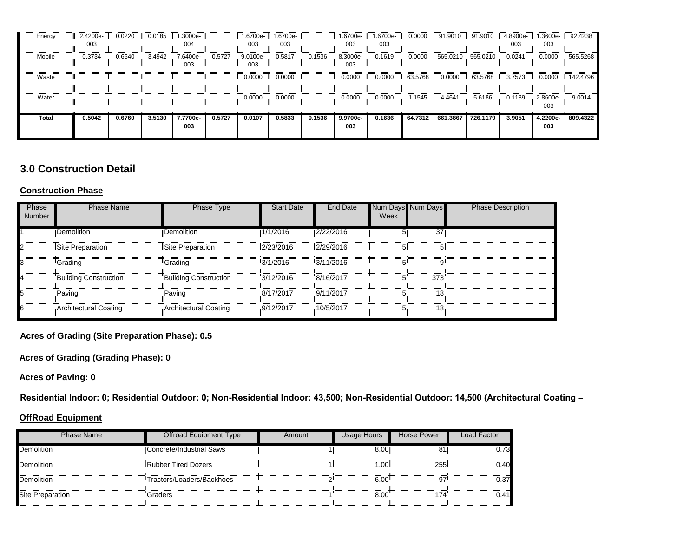| Energy | 2.4200e-<br>003 | 0.0220 | 0.0185 | 1.3000e-<br>004 |        | 1.6700e-<br>003 | -6700e-<br>003 |        | 1.6700e-<br>003 | 1.6700e-<br>003 | 0.0000  | 91.9010  | 91.9010  | 4.8900e-<br>003 | 1.3600e-<br>003 | 92.4238  |
|--------|-----------------|--------|--------|-----------------|--------|-----------------|----------------|--------|-----------------|-----------------|---------|----------|----------|-----------------|-----------------|----------|
| Mobile | 0.3734          | 0.6540 | 3.4942 | 7.6400e-<br>003 | 0.5727 | 9.0100e-<br>003 | 0.5817         | 0.1536 | 8.3000e-<br>003 | 0.1619          | 0.0000  | 565.0210 | 565.0210 | 0.0241          | 0.0000          | 565.5268 |
| Waste  |                 |        |        |                 |        | 0.0000          | 0.0000         |        | 0.0000          | 0.0000          | 63.5768 | 0.0000   | 63.5768  | 3.7573          | 0.0000          | 142.4796 |
| Water  |                 |        |        |                 |        | 0.0000          | 0.0000         |        | 0.0000          | 0.0000          | 1.1545  | 4.4641   | 5.6186   | 0.1189          | 2.8600e-<br>003 | 9.0014   |
| Total  | 0.5042          | 0.6760 | 3.5130 | 7.7700e-<br>003 | 0.5727 | 0.0107          | 0.5833         | 0.1536 | 9.9700e-<br>003 | 0.1636          | 64.7312 | 661.3867 | 726.1179 | 3.9051          | 4.2200e-<br>003 | 809.4322 |

## **3.0 Construction Detail**

#### **Construction Phase**

| Phase<br>Number | <b>Phase Name</b>            | Phase Type                   | <b>Start Date</b> | End Date  | Num Days Num Days<br>Week |                 | <b>Phase Description</b> |
|-----------------|------------------------------|------------------------------|-------------------|-----------|---------------------------|-----------------|--------------------------|
|                 | Demolition                   | <b>Demolition</b>            | 1/1/2016          | 2/22/2016 |                           | $\overline{37}$ |                          |
| 2               | Site Preparation             | Site Preparation             | 2/23/2016         | 2/29/2016 | 51                        |                 |                          |
| Iз              | <b>Grading</b>               | <b>Grading</b>               | 3/1/2016          | 3/11/2016 | 5                         |                 |                          |
| 4               | <b>Building Construction</b> | <b>Building Construction</b> | 3/12/2016         | 8/16/2017 | 5.                        | 373             |                          |
| 5               | Paving                       | Paving                       | 8/17/2017         | 9/11/2017 | 5.                        | 18 <sup>°</sup> |                          |
| 6               | Architectural Coating        | Architectural Coating        | 9/12/2017         | 10/5/2017 | 51                        | 18 <sup>°</sup> |                          |

**Acres of Grading (Site Preparation Phase): 0.5**

**Acres of Grading (Grading Phase): 0**

**Acres of Paving: 0**

**Residential Indoor: 0; Residential Outdoor: 0; Non-Residential Indoor: 43,500; Non-Residential Outdoor: 14,500 (Architectural Coating –** 

#### **OffRoad Equipment**

| <b>Phase Name</b>       | Offroad Equipment Type    | Amount | Usage Hours      | <b>Horse Power</b> | Load Factor |
|-------------------------|---------------------------|--------|------------------|--------------------|-------------|
| Demolition              | Concrete/Industrial Saws  |        | 8.00             | 81                 | 0.73        |
| Demolition              | Rubber Tired Dozers       |        | .00 <sub>1</sub> | 255                | 0.40        |
| Demolition              | Tractors/Loaders/Backhoes |        | 6.00.            | 97                 | 0.37        |
| <b>Site Preparation</b> | Graders                   |        | 8.00             | 174                | 0.41        |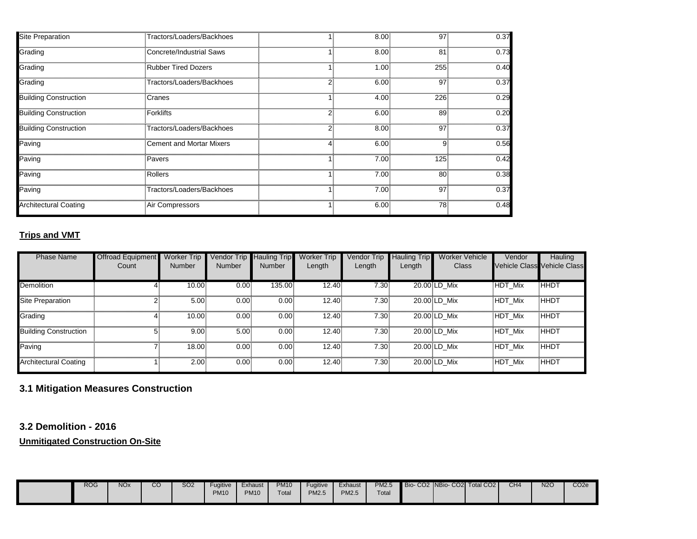| <b>Site Preparation</b>      | Tractors/Loaders/Backhoes  | 11 | 8.00  | 97              | 0.37 |
|------------------------------|----------------------------|----|-------|-----------------|------|
| Grading                      | Concrete/Industrial Saws   |    | 8.00  | 81 <sup>3</sup> | 0.73 |
| Grading                      | <b>Rubber Tired Dozers</b> |    | 1.00  | 255             | 0.40 |
| Grading                      | Tractors/Loaders/Backhoes  |    | 6.00: | 97              | 0.37 |
| <b>Building Construction</b> | Cranes                     |    | 4.00  | 226             | 0.29 |
| <b>Building Construction</b> | Forklifts                  |    | 6.00: | 89              | 0.20 |
| <b>Building Construction</b> | Tractors/Loaders/Backhoes  |    | 8.00  | 97              | 0.37 |
| Paving                       | Cement and Mortar Mixers   | 4  | 6.00: | 9               | 0.56 |
| Paving                       | Pavers                     |    | 7.00. | 125             | 0.42 |
| Paving                       | Rollers                    |    | 7.00  | 80              | 0.38 |
| Paving                       | Tractors/Loaders/Backhoes  |    | 7.00. | 97              | 0.37 |
| <b>Architectural Coating</b> | Air Compressors            |    | 6.00  | 78              | 0.48 |

## **Trips and VMT**

| <b>Phase Name</b>            | <b>Offroad Equipment</b> | <b>Worker Trip</b>                           | Vendor Trip | <b>Hauling Trip</b> | <b>Worker Trip</b> | Vendor Trip       | Hauling Trip | <b>Worker Vehicle</b> | Vendor  | Hauling                            |
|------------------------------|--------------------------|----------------------------------------------|-------------|---------------------|--------------------|-------------------|--------------|-----------------------|---------|------------------------------------|
|                              | Count                    | <b>Number</b>                                | Number      | <b>Number</b>       | Length             | Length            | Length       | <b>Class</b>          |         | <b>Vehicle Class Vehicle Class</b> |
| <b>Demolition</b>            |                          | $10.00$ <sup><math>\overline{ }</math></sup> | 0.00        | 135.00              | 12.40              | 7.30              |              | 20.00 LD Mix          | HDT Mix | ҇҃ҤҤѸ                              |
| Site Preparation             |                          | 5.00                                         | 0.00.       | 0.001               | 12.40              | 7.30              |              | 20.00 LD Mix          | HDT Mix | <b>HHDT</b>                        |
| Grading                      | 4.                       | 10.00                                        | 0.00        | 0.00                | 12.40              | 7.30              |              | 20.00 LD Mix          | HDT Mix | HHDT                               |
| <b>Building Construction</b> | 5.                       | 9.00                                         | 5.00        | 0.001               | 12.40              | 7.30 <sub>1</sub> |              | 20.00 LD Mix          | HDT Mix | HHDT                               |
| Paving                       |                          | 18.00                                        | 0.00        | 0.00                | 12.40              | 7.30              |              | 20.00 LD Mix          | HDT Mix | <b>HHDT</b>                        |
| <b>Architectural Coating</b> |                          | 2.00                                         | 0.00.       | 0.001               | 12.40              | 7.30              |              | 20.00 LD Mix          | HDT Mix | HHDT                               |

## **3.1 Mitigation Measures Construction**

**3.2 Demolition - 2016**

**Unmitigated Construction On-Site**

| <b>ROG</b> | <b>NO<sub>x</sub></b> | $\cap$<br>UU | SO2 | Fuaitive<br><b>PM10</b> | Exhaust<br><b>PM10</b> | <b>PM10</b><br>Total | Fugitive<br><b>PM2.5</b> | Exhaust<br><b>PM2.5</b> | <b>PM2.5</b><br>Total |  | Bio-CO2 NBio-CO2 Total CO2 | CH <sub>4</sub> | <b>N2C</b><br><b>CONTRACTOR</b> | CO <sub>2</sub> e |
|------------|-----------------------|--------------|-----|-------------------------|------------------------|----------------------|--------------------------|-------------------------|-----------------------|--|----------------------------|-----------------|---------------------------------|-------------------|
|            |                       |              |     |                         |                        |                      |                          |                         |                       |  |                            |                 |                                 |                   |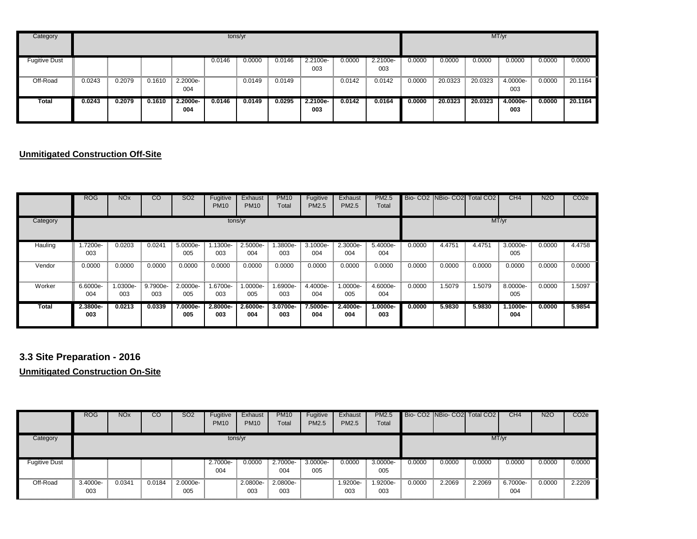| Category             |        |        |        |                 |        | tons/yr |        |                 |        |                 |        |         |         | MT/yr           |        |         |
|----------------------|--------|--------|--------|-----------------|--------|---------|--------|-----------------|--------|-----------------|--------|---------|---------|-----------------|--------|---------|
| <b>Fugitive Dust</b> |        |        |        |                 | 0.0146 | 0.0000  | 0.0146 | 2.2100e-<br>003 | 0.0000 | 2.2100e-<br>003 | 0.0000 | 0.0000  | 0.0000  | 0.0000          | 0.0000 | 0.0000  |
| Off-Road             | 0.0243 | 0.2079 | 0.1610 | 2.2000e-<br>004 |        | 0.0149  | 0.0149 |                 | 0.0142 | 0.0142          | 0.0000 | 20.0323 | 20.0323 | 4.0000e-<br>003 | 0.0000 | 20.1164 |
| Total                | 0.0243 | 0.2079 | 0.1610 | 2.2000e-<br>004 | 0.0146 | 0.0149  | 0.0295 | 2.2100e-<br>003 | 0.0142 | 0.0164          | 0.0000 | 20.0323 | 20.0323 | 4.0000e-<br>003 | 0.0000 | 20.1164 |

#### **Unmitigated Construction Off-Site**

|              | <b>ROG</b>      | <b>NO<sub>x</sub></b> | $\overline{c}$  | SO <sub>2</sub> | Fugitive<br><b>PM10</b> | Exhaust<br><b>PM10</b> | <b>PM10</b><br>Total | Fugitive<br><b>PM2.5</b> | Exhaust<br>PM2.5 | <b>PM2.5</b><br>Total |        |        | Bio-CO2 NBio-CO2 Total CO2 | CH4             | <b>N2O</b> | CO <sub>2e</sub> |
|--------------|-----------------|-----------------------|-----------------|-----------------|-------------------------|------------------------|----------------------|--------------------------|------------------|-----------------------|--------|--------|----------------------------|-----------------|------------|------------------|
| Category     |                 |                       |                 |                 | tons/yr                 |                        |                      |                          |                  |                       |        |        |                            | MT/yr           |            |                  |
| Hauling      | .7200e-<br>003  | 0.0203                | 0.0241          | 5.0000e-<br>005 | 1.1300e-<br>003         | 2.5000e-<br>004        | .3800e-<br>003       | 3.1000e-<br>004          | 2.3000e-<br>004  | 5.4000e-<br>004       | 0.0000 | 4.4751 | 4.4751                     | 3.0000e-<br>005 | 0.0000     | 4.4758           |
| Vendor       | 0.0000          | 0.0000                | 0.0000          | 0.0000          | 0.0000                  | 0.0000                 | 0.0000               | 0.0000                   | 0.0000           | 0.0000                | 0.0000 | 0.0000 | 0.0000                     | 0.0000          | 0.0000     | 0.0000           |
| Worker       | 6.6000e-<br>004 | 1.0300e-<br>003       | 9.7900e-<br>003 | 2.0000e-<br>005 | -6700e-<br>003          | 1.0000e-<br>005        | 1.6900e-<br>003      | 4.4000e-<br>004          | 1.0000e-<br>005  | 4.6000e-<br>004       | 0.0000 | 1.5079 | 1.5079                     | 8.0000e-<br>005 | 0.0000     | 1.5097           |
| <b>Total</b> | 2.3800e-<br>003 | 0.0213                | 0.0339          | 7.0000e-<br>005 | $2.8000e-$<br>003       | 2.6000e-<br>004        | 3.0700e-<br>003      | 7.5000e-<br>004          | 2.4000e-<br>004  | $1.0000e-$<br>003     | 0.0000 | 5.9830 | 5.9830                     | 1.1000e-<br>004 | 0.0000     | 5.9854           |

## **3.3 Site Preparation - 2016**

**Unmitigated Construction On-Site**

|                      | <b>ROG</b>      | <b>NO<sub>x</sub></b> | CO     | <b>SO2</b>      | Fugitive<br><b>PM10</b> | Exhaust<br><b>PM10</b> | <b>PM10</b><br>Total | Fugitive<br>PM2.5 | Exhaust<br>PM2.5 | <b>PM2.5</b><br>Total |        |        | Bio-CO2 NBio-CO2 Total CO2 | CH4             | <b>N2O</b> | CO <sub>2e</sub> |
|----------------------|-----------------|-----------------------|--------|-----------------|-------------------------|------------------------|----------------------|-------------------|------------------|-----------------------|--------|--------|----------------------------|-----------------|------------|------------------|
| Category             |                 |                       |        |                 | tons/yr                 |                        |                      |                   |                  |                       |        |        |                            | MT/yr           |            |                  |
| <b>Fugitive Dust</b> |                 |                       |        |                 | 2.7000e-<br>004         | 0.0000                 | 2.7000e-<br>004      | 3.0000e-<br>005   | 0.0000           | 3.0000e-<br>005       | 0.0000 | 0.0000 | 0.0000                     | 0.0000          | 0.0000     | 0.0000           |
| Off-Road             | 3.4000e-<br>003 | 0.0341                | 0.0184 | 2.0000e-<br>005 |                         | 2.0800e-<br>003        | 2.0800e-<br>003      |                   | 1.9200e-<br>003  | 1.9200e-<br>003       | 0.0000 | 2.2069 | 2.2069                     | 6.7000e-<br>004 | 0.0000     | 2.2209           |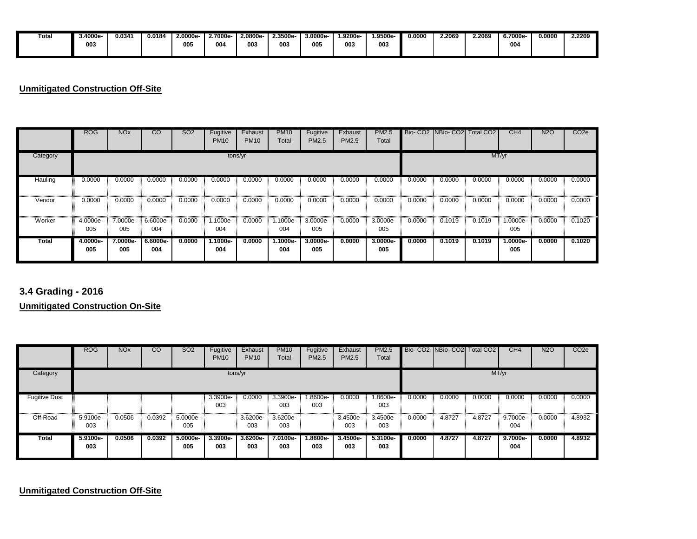| Total | - 3.4000e | 0.0341 | 0.0184 | 2.0000e- | 2.7000e | 2.0800e- | 2.3500e- | 3.0000e | .9200e- | 1.9500e | 0.0000 | 2.2069 | 2.2069 | 6.7000e | 0.0000 | 2.2209 |
|-------|-----------|--------|--------|----------|---------|----------|----------|---------|---------|---------|--------|--------|--------|---------|--------|--------|
|       | 003       |        |        | 005      | 004     | 003      | 003      | 005     | 003     | 003     |        |        |        | 004     |        |        |
|       |           |        |        |          |         |          |          |         |         |         |        |        |        |         |        |        |

## **Unmitigated Construction Off-Site**

|              | <b>ROG</b>      | <b>NO<sub>x</sub></b> | <sub>CO</sub>     | <b>SO2</b> | Fugitive<br><b>PM10</b> | Exhaust<br><b>PM10</b> | <b>PM10</b><br>Total | Fugitive<br>PM2.5 | Exhaust<br>PM2.5 | <b>PM2.5</b><br>Total |        |        | Bio-CO2 NBio-CO2 Total CO2 | CH4               | <b>N2O</b> | CO <sub>2e</sub> |
|--------------|-----------------|-----------------------|-------------------|------------|-------------------------|------------------------|----------------------|-------------------|------------------|-----------------------|--------|--------|----------------------------|-------------------|------------|------------------|
| Category     |                 |                       |                   |            | tons/yr                 |                        |                      |                   |                  |                       |        |        |                            | MT/yr             |            |                  |
| Hauling      | 0.0000          | 0.0000                | 0.0000            | 0.0000     | 0.0000                  | 0.0000                 | 0.0000               | 0.0000            | 0.0000           | 0.0000                | 0.0000 | 0.0000 | 0.0000                     | 0.0000            | 0.0000     | 0.0000           |
| Vendor       | 0.0000          | 0.0000                | 0.0000            | 0.0000     | 0.0000                  | 0.0000                 | 0.0000               | 0.0000            | 0.0000           | 0.0000                | 0.0000 | 0.0000 | 0.0000                     | 0.0000            | 0.0000     | 0.0000           |
| Worker       | 4.0000e-<br>005 | 7.0000e-<br>005       | 6.6000e-<br>004   | 0.0000     | 1.1000e-<br>004         | 0.0000                 | 1.1000e-<br>004      | 3.0000e-<br>005   | 0.0000           | 3.0000e-<br>005       | 0.0000 | 0.1019 | 0.1019                     | 1.0000e-<br>005   | 0.0000     | 0.1020           |
| <b>Total</b> | 4.0000e-<br>005 | 7.0000e-<br>005       | $6.6000e-$<br>004 | 0.0000     | 1.1000e-<br>004         | 0.0000                 | 1.1000e-<br>004      | 3.0000e-<br>005   | 0.0000           | $3.0000e-$<br>005     | 0.0000 | 0.1019 | 0.1019                     | $1.0000e-$<br>005 | 0.0000     | 0.1020           |

## **3.4 Grading - 2016**

#### **Unmitigated Construction On-Site**

|                      | <b>ROG</b>      | <b>NO<sub>x</sub></b> | CO     | SO <sub>2</sub>    | Fugitive<br><b>PM10</b> | Exhaust<br><b>PM10</b> | <b>PM10</b><br>Total | Fugitive<br>PM2.5 | Exhaust<br>PM2.5 | <b>PM2.5</b><br>Total |        |        | Bio- CO2 NBio- CO2 Total CO2 | CH4             | <b>N2O</b> | CO <sub>2e</sub> |
|----------------------|-----------------|-----------------------|--------|--------------------|-------------------------|------------------------|----------------------|-------------------|------------------|-----------------------|--------|--------|------------------------------|-----------------|------------|------------------|
| Category             |                 |                       |        |                    | tons/yr                 |                        |                      |                   |                  |                       |        |        | MT/yr                        |                 |            |                  |
| <b>Fugitive Dust</b> |                 |                       |        |                    | 3.3900e-<br>003         | 0.0000                 | 3.3900e-<br>003      | -8600e.<br>003    | 0.0000           | 1.8600e-<br>003       | 0.0000 | 0.0000 | 0.0000                       | 0.0000          | 0.0000     | 0.0000           |
| Off-Road             | 5.9100e-<br>003 | 0.0506                | 0.0392 | 5.0000e-<br>005    |                         | 3.6200e-<br>003        | 3.6200e-<br>003      |                   | 3.4500e-<br>003  | 3.4500e-<br>003       | 0.0000 | 4.8727 | 4.8727                       | 9.7000e-<br>004 | 0.0000     | 4.8932           |
| Total                | 5.9100e-<br>003 | 0.0506                | 0.0392 | $5.0000e -$<br>005 | 3.3900e-<br>003         | 3.6200e-<br>003        | 7.0100e-<br>003      | 1.8600e-<br>003   | 3.4500e-<br>003  | $5.3100e -$<br>003    | 0.0000 | 4.8727 | 4.8727                       | 9.7000e-<br>004 | 0.0000     | 4.8932           |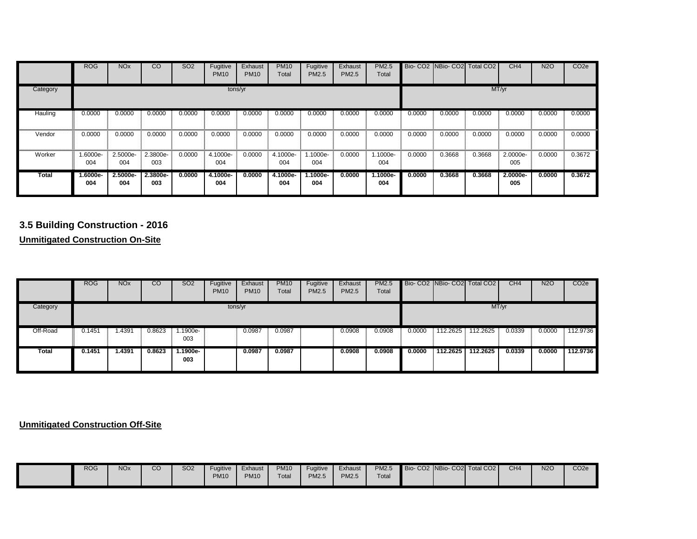|              | <b>ROG</b>        | <b>NO<sub>x</sub></b> | $\overline{c}$  | SO <sub>2</sub> | Fugitive<br><b>PM10</b> | Exhaust<br><b>PM10</b> | <b>PM10</b><br>Total | Fugitive<br>PM2.5 | Exhaust<br>PM2.5 | <b>PM2.5</b><br>Total |        |        | Bio-CO2 NBio-CO2 Total CO2 | CH4             | <b>N2O</b> | CO <sub>2e</sub> |
|--------------|-------------------|-----------------------|-----------------|-----------------|-------------------------|------------------------|----------------------|-------------------|------------------|-----------------------|--------|--------|----------------------------|-----------------|------------|------------------|
| Category     |                   |                       |                 |                 |                         | tons/yr                |                      |                   |                  |                       |        |        |                            | MT/yr           |            |                  |
| Hauling      | 0.0000            | 0.0000                | 0.0000          | 0.0000          | 0.0000                  | 0.0000                 | 0.0000               | 0.0000            | 0.0000           | 0.0000                | 0.0000 | 0.0000 | 0.0000                     | 0.0000          | 0.0000     | 0.0000           |
| Vendor       | 0.0000            | 0.0000                | 0.0000          | 0.0000          | 0.0000                  | 0.0000                 | 0.0000               | 0.0000            | 0.0000           | 0.0000                | 0.0000 | 0.0000 | 0.0000                     | 0.0000          | 0.0000     | 0.0000           |
| Worker       | .6000e-<br>004    | 2.5000e-<br>004       | 2.3800e-<br>003 | 0.0000          | 4.1000e-<br>004         | 0.0000                 | 4.1000e-<br>004      | 1.1000e-<br>004   | 0.0000           | $.1000e-$<br>004      | 0.0000 | 0.3668 | 0.3668                     | 2.0000e-<br>005 | 0.0000     | 0.3672           |
| <b>Total</b> | $1.6000e-$<br>004 | 2.5000e-<br>004       | 2.3800e-<br>003 | 0.0000          | 4.1000e-<br>004         | 0.0000                 | 4.1000e-<br>004      | 1.1000e-<br>004   | 0.0000           | $1.1000e-$<br>004     | 0.0000 | 0.3668 | 0.3668                     | 2.0000e-<br>005 | 0.0000     | 0.3672           |

## **3.5 Building Construction - 2016**

**Unmitigated Construction On-Site**

|          | <b>ROG</b> | <b>NO<sub>x</sub></b> | $\overline{c}$ | SO <sub>2</sub> | Fugitive<br><b>PM10</b> | Exhaust<br><b>PM10</b> | <b>PM10</b><br>Total | Fugitive<br>PM2.5 | Exhaust<br>PM2.5 | <b>PM2.5</b><br>Total |        |          | Bio- CO2 NBio- CO2 Total CO2 | CH <sub>4</sub> | <b>N2O</b> | CO <sub>2e</sub> |
|----------|------------|-----------------------|----------------|-----------------|-------------------------|------------------------|----------------------|-------------------|------------------|-----------------------|--------|----------|------------------------------|-----------------|------------|------------------|
| Category |            |                       |                |                 | tons/yr                 |                        |                      |                   |                  |                       |        |          | MT/yr                        |                 |            |                  |
| Off-Road | 0.1451     | 1.4391                | 0.8623         | 1.1900e-<br>003 |                         | 0.0987                 | 0.0987               |                   | 0.0908           | 0.0908                | 0.0000 | 112.2625 | 112.2625                     | 0.0339          | 0.0000     | 112.9736         |
| Total    | 0.1451     | 1.4391                | 0.8623         | 1.1900e-<br>003 |                         | 0.0987                 | 0.0987               |                   | 0.0908           | 0.0908                | 0.0000 | 112.2625 | 112.2625                     | 0.0339          | 0.0000     | 112.9736         |

#### **Unmitigated Construction Off-Site**

| <b>ROG</b> | <b>NO<sub>x</sub></b> | $\sim$<br>◡◡ | SO <sub>2</sub> | Fugitive<br><b>PM10</b> | Exhaust<br><b>PM10</b> | <b>PM10</b><br>Total | Fugitive<br>PM2.5 | Exhaust<br>PM2.5 | <b>PM2.5</b><br>Total |  |  | Bio-CO2 NBio-CO2 Total CO2 | CH4 | <b>N2O</b> | CO <sub>2</sub> e |
|------------|-----------------------|--------------|-----------------|-------------------------|------------------------|----------------------|-------------------|------------------|-----------------------|--|--|----------------------------|-----|------------|-------------------|
|------------|-----------------------|--------------|-----------------|-------------------------|------------------------|----------------------|-------------------|------------------|-----------------------|--|--|----------------------------|-----|------------|-------------------|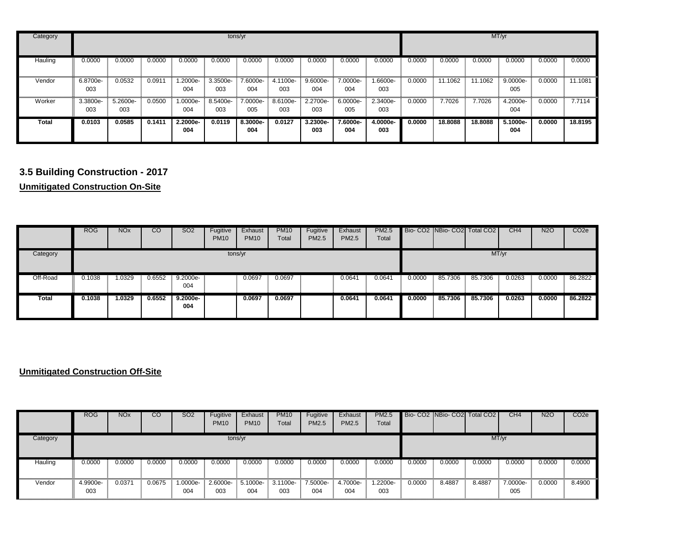| Category |                 |                 |        |                 |                 | tons/yr         |                 |                 |                 |                 |        |         |         | MT/yr             |        |         |
|----------|-----------------|-----------------|--------|-----------------|-----------------|-----------------|-----------------|-----------------|-----------------|-----------------|--------|---------|---------|-------------------|--------|---------|
| Hauling  | 0.0000          | 0.0000          | 0.0000 | 0.0000          | 0.0000          | 0.0000          | 0.0000          | 0.0000          | 0.0000          | 0.0000          | 0.0000 | 0.0000  | 0.0000  | 0.0000            | 0.0000 | 0.0000  |
| Vendor   | 6.8700e-<br>003 | 0.0532          | 0.0911 | 1.2000e-<br>004 | 3.3500e-<br>003 | 7.6000e-<br>004 | 4.1100e-<br>003 | 9.6000e-<br>004 | 7.0000e-<br>004 | --6600e<br>003  | 0.0000 | 11.1062 | 11.1062 | 9.0000e-<br>005   | 0.0000 | 11.1081 |
| Worker   | 3.3800e-<br>003 | 5.2600e-<br>003 | 0.0500 | 1.0000e-<br>004 | 8.5400e-<br>003 | 7.0000e-<br>005 | 8.6100e-<br>003 | 2.2700e-<br>003 | 6.0000e-<br>005 | 2.3400e-<br>003 | 0.0000 | 7.7026  | 7.7026  | 4.2000e-<br>004   | 0.0000 | 7.7114  |
| Total    | 0.0103          | 0.0585          | 0.1411 | 2.2000e-<br>004 | 0.0119          | 8.3000e-<br>004 | 0.0127          | 3.2300e-<br>003 | 7.6000e-<br>004 | 4.0000e-<br>003 | 0.0000 | 18,8088 | 18,8088 | $5.1000e-$<br>004 | 0.0000 | 18.8195 |

# **3.5 Building Construction - 2017**

**Unmitigated Construction On-Site**

|              | <b>ROG</b> | <b>NO<sub>x</sub></b> | CO     | SO <sub>2</sub>   | Fugitive<br><b>PM10</b> | Exhaust<br><b>PM10</b> | <b>PM10</b><br>Total | Fugitive<br><b>PM2.5</b> | Exhaust<br>PM2.5 | <b>PM2.5</b><br>Total |        |         | Bio-CO2 NBio-CO2 Total CO2 | CH4    | <b>N2O</b> | CO <sub>2</sub> e |
|--------------|------------|-----------------------|--------|-------------------|-------------------------|------------------------|----------------------|--------------------------|------------------|-----------------------|--------|---------|----------------------------|--------|------------|-------------------|
| Category     |            |                       |        |                   | tons/yr                 |                        |                      |                          |                  |                       |        |         | MT/yr                      |        |            |                   |
| Off-Road     | 0.1038     | 1.0329                | 0.6552 | $9.2000e-$<br>004 |                         | 0.0697                 | 0.0697               |                          | 0.0641           | 0.064                 | 0.0000 | 85.7306 | 85.7306                    | 0.0263 | 0.0000     | 86.2822           |
| <b>Total</b> | 0.1038     | 1.0329                | 0.6552 | $9.2000e-$<br>004 |                         | 0.0697                 | 0.0697               |                          | 0.0641           | 0.0641                | 0.0000 | 85,7306 | 85,7306                    | 0.0263 | 0.0000     | 86,2822           |

## **Unmitigated Construction Off-Site**

|          | <b>ROG</b>      | <b>NO<sub>x</sub></b> | $\overline{c}$ | <b>SO2</b>      | Fugitive<br><b>PM10</b> | Exhaust<br><b>PM10</b> | <b>PM10</b><br>Total | Fugitive<br>PM2.5 | Exhaust<br><b>PM2.5</b> | <b>PM2.5</b><br>Total |        |        | Bio- CO2 NBio- CO2 Total CO2 | CH4             | <b>N2O</b> | CO <sub>2</sub> e |
|----------|-----------------|-----------------------|----------------|-----------------|-------------------------|------------------------|----------------------|-------------------|-------------------------|-----------------------|--------|--------|------------------------------|-----------------|------------|-------------------|
| Category |                 |                       |                |                 | tons/yr                 |                        |                      |                   |                         |                       |        |        |                              | MT/yr           |            |                   |
| Hauling  | 0.0000          | 0.0000                | 0.0000         | 0.0000          | 0.0000                  | 0.0000                 | 0.0000               | 0.0000            | 0.0000                  | 0.0000                | 0.0000 | 0.0000 | 0.0000                       | 0.0000          | 0.0000     | 0.0000            |
| Vendor   | 4.9900e-<br>003 | 0.0371                | 0.0675         | 1.0000e-<br>004 | 2.6000e-<br>003         | 5.1000e-<br>004        | 3.1100e-<br>003      | 7.5000e-<br>004   | 4.7000e-<br>004         | -2200e-<br>003        | 0.0000 | 8.4887 | 8.4887                       | 7.0000e-<br>005 | 0.0000     | 8.4900            |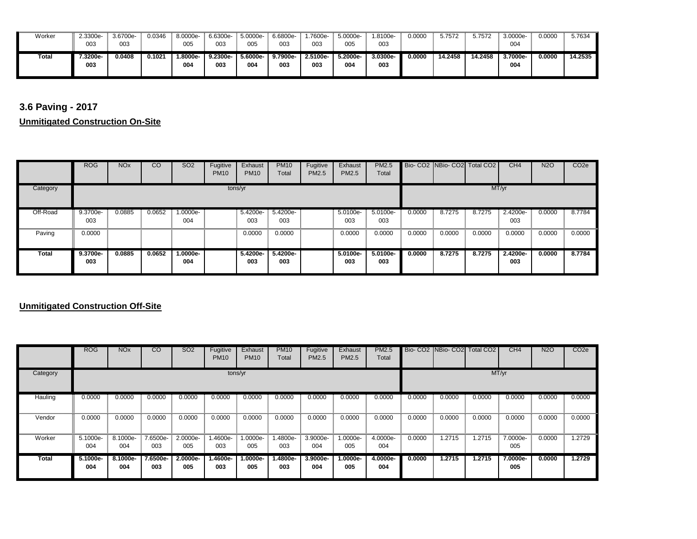| Worker | 2.3300e- | 3.6700e- | 0.0346 | 8.0000e- | 6.6300e- | 5.0000e- | 6.6800e- | .7600e-  | 5.0000e- | 1.8100e- | 0.0000 | 5.7572  | 5.7572  | 3.0000e- | 0.0000 | 5.7634  |
|--------|----------|----------|--------|----------|----------|----------|----------|----------|----------|----------|--------|---------|---------|----------|--------|---------|
|        | 003      | 003      |        | 005      | 003      | 005      | 003      | 003      | 005      | 003      |        |         |         | 004      |        |         |
|        |          |          |        |          |          |          |          |          |          |          |        |         |         |          |        |         |
| Total  | .3200e   | 0.0408   | 0.1021 | .8000e-  | 9.2300e- | 5.6000e- | 9.7900e- | 2.5100e- | 5.2000e- | 3.0300e- | 0.0000 | 14.2458 | 14.2458 | 3.7000e- | 0.0000 | 14.2535 |
|        | 003      |          |        | 004      | 003      | 004      | 003      | 003      | 004      | 003      |        |         |         | 004      |        |         |

**3.6 Paving - 2017**

**Unmitigated Construction On-Site**

|          | <b>ROG</b>      | <b>NO<sub>x</sub></b> | CO     | <b>SO2</b>      | Fugitive<br><b>PM10</b> | Exhaust<br><b>PM10</b> | <b>PM10</b><br>Total | Fugitive<br>PM2.5 | Exhaust<br>PM2.5 | <b>PM2.5</b><br>Total |        |        | Bio-CO2 NBio-CO2 Total CO2 | CH <sub>4</sub>   | <b>N2O</b> | CO <sub>2e</sub> |
|----------|-----------------|-----------------------|--------|-----------------|-------------------------|------------------------|----------------------|-------------------|------------------|-----------------------|--------|--------|----------------------------|-------------------|------------|------------------|
| Category |                 |                       |        |                 | tons/yr                 |                        |                      |                   |                  |                       |        |        | MT/yr                      |                   |            |                  |
| Off-Road | 9.3700e-        | 0.0885                | 0.0652 | 1.0000e-        |                         | 5.4200e-               | 5.4200e-             |                   | 5.0100e-         | 5.0100e-              | 0.0000 | 8.7275 | 8.7275                     | 2.4200e-          | 0.0000     | 8.7784           |
|          | 003             |                       |        | 004             |                         | 003                    | 003                  |                   | 003              | 003                   |        |        |                            | 003               |            |                  |
| Paving   | 0.0000          |                       |        |                 |                         | 0.0000                 | 0.0000               |                   | 0.0000           | 0.0000                | 0.0000 | 0.0000 | 0.0000                     | 0.0000            | 0.0000     | 0.0000           |
| Total    | 9.3700e-<br>003 | 0.0885                | 0.0652 | 1.0000e-<br>004 |                         | 5.4200e-<br>003        | 5.4200e-<br>003      |                   | 5.0100e-<br>003  | $5.0100e-$<br>003     | 0.0000 | 8.7275 | 8.7275                     | $2.4200e-$<br>003 | 0.0000     | 8.7784           |

#### **Unmitigated Construction Off-Site**

|              | <b>ROG</b>      | <b>NO<sub>x</sub></b> | $\overline{c}$  | SO <sub>2</sub> | Fugitive<br><b>PM10</b> | Exhaust<br><b>PM10</b> | <b>PM10</b><br>Total | Fugitive<br><b>PM2.5</b> | Exhaust<br>PM2.5  | <b>PM2.5</b><br>Total |        |        | Bio- CO2 NBio- CO2 Total CO2 | CH4             | <b>N2O</b> | CO <sub>2e</sub> |
|--------------|-----------------|-----------------------|-----------------|-----------------|-------------------------|------------------------|----------------------|--------------------------|-------------------|-----------------------|--------|--------|------------------------------|-----------------|------------|------------------|
| Category     |                 |                       |                 |                 | tons/yr                 |                        |                      |                          |                   |                       |        |        | MT/yr                        |                 |            |                  |
| Hauling      | 0.0000          | 0.0000                | 0.0000          | 0.0000          | 0.0000                  | 0.0000                 | 0.0000               | 0.0000                   | 0.0000            | 0.0000                | 0.0000 | 0.0000 | 0.0000                       | 0.0000          | 0.0000     | 0.0000           |
| Vendor       | 0.0000          | 0.0000                | 0.0000          | 0.0000          | 0.0000                  | 0.0000                 | 0.0000               | 0.0000                   | 0.0000            | 0.0000                | 0.0000 | 0.0000 | 0.0000                       | 0.0000          | 0.0000     | 0.0000           |
| Worker       | 5.1000e-<br>004 | 8.1000e-<br>004       | 7.6500e-<br>003 | 2.0000e-<br>005 | 1.4600e-<br>003         | 1.0000e-<br>005        | .4800e-<br>003       | 3.9000e-<br>004          | 1.0000e-<br>005   | 4.0000e-<br>004       | 0.0000 | .2715  | 1.2715                       | 7.0000e-<br>005 | 0.0000     | 1.2729           |
| <b>Total</b> | 5.1000e-<br>004 | 8.1000e-<br>004       | 7.6500e-<br>003 | 2.0000e-<br>005 | 1.4600e-<br>003         | $1.0000e-$<br>005      | 1.4800e-<br>003      | 3.9000e-<br>004          | $1.0000e-$<br>005 | 4.0000e-<br>004       | 0.0000 | 1.2715 | 1.2715                       | 7.0000e-<br>005 | 0.0000     | 1.2729           |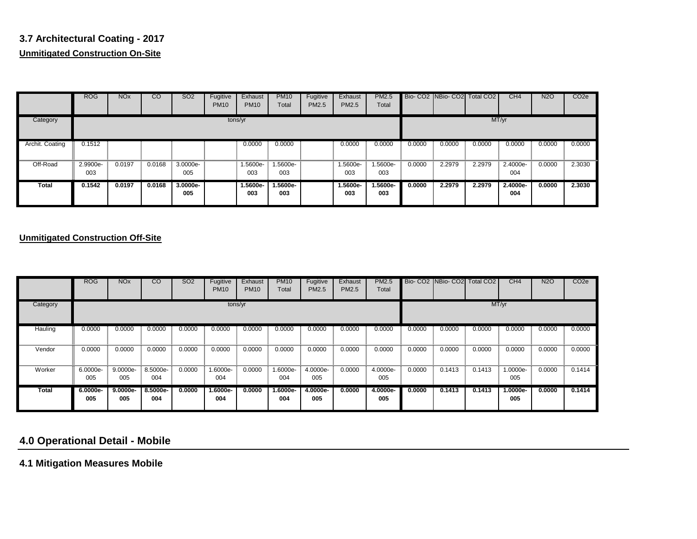## **3.7 Architectural Coating - 2017 Unmitigated Construction On-Site**

 $\sim$ 

|                 | <b>ROG</b>      | <b>NO<sub>x</sub></b> | $\overline{c}$ | SO <sub>2</sub> | Fugitive<br><b>PM10</b> | Exhaust<br><b>PM10</b> | <b>PM10</b><br>Total | Fugitive<br>PM2.5 | Exhaust<br>PM2.5  | <b>PM2.5</b><br>Total |        | Bio- CO2   NBio- CO2   Total CO2 |        | CH4               | <b>N2O</b> | CO <sub>2</sub> e |
|-----------------|-----------------|-----------------------|----------------|-----------------|-------------------------|------------------------|----------------------|-------------------|-------------------|-----------------------|--------|----------------------------------|--------|-------------------|------------|-------------------|
| Category        |                 |                       |                |                 | tons/yr                 |                        |                      |                   |                   |                       |        |                                  | MT/yr  |                   |            |                   |
| Archit. Coating | 0.1512          |                       |                |                 |                         | 0.0000                 | 0.0000               |                   | 0.0000            | 0.0000                | 0.0000 | 0.0000                           | 0.0000 | 0.0000            | 0.0000     | 0.0000            |
| Off-Road        | 2.9900e-<br>003 | 0.0197                | 0.0168         | 3.0000e-<br>005 |                         | 1.5600e-<br>003        | 1.5600e-<br>003      |                   | 1.5600e-<br>003   | 1.5600e-<br>003       | 0.0000 | 2.2979                           | 2.2979 | 2.4000e-<br>004   | 0.0000     | 2.3030            |
| Total           | 0.1542          | 0.0197                | 0.0168         | 3.0000e-<br>005 |                         | 1.5600e-<br>003        | 1.5600e-<br>003      |                   | $1.5600e-$<br>003 | 1.5600e-<br>003       | 0.0000 | 2.2979                           | 2.2979 | $2.4000e-$<br>004 | 0.0000     | 2.3030            |

#### **Unmitigated Construction Off-Site**

|              | <b>ROG</b>      | <b>NO<sub>x</sub></b> | CO              | SO <sub>2</sub> | Fugitive<br><b>PM10</b> | Exhaust<br><b>PM10</b> | <b>PM10</b><br>Total | Fugitive<br>PM2.5 | Exhaust<br>PM2.5 | <b>PM2.5</b><br>Total |        |        | Bio-CO2 INBio-CO2I Total CO2 | CH <sub>4</sub> | <b>N2O</b> | CO <sub>2e</sub> |
|--------------|-----------------|-----------------------|-----------------|-----------------|-------------------------|------------------------|----------------------|-------------------|------------------|-----------------------|--------|--------|------------------------------|-----------------|------------|------------------|
| Category     |                 |                       |                 |                 | tons/yr                 |                        |                      |                   |                  |                       |        |        |                              | MT/yr           |            |                  |
| Hauling      | 0.0000          | 0.0000                | 0.0000          | 0.0000          | 0.0000                  | 0.0000                 | 0.0000               | 0.0000            | 0.0000           | 0.0000                | 0.0000 | 0.0000 | 0.0000                       | 0.0000          | 0.0000     | 0.0000           |
| Vendor       | 0.0000          | 0.0000                | 0.0000          | 0.0000          | 0.0000                  | 0.0000                 | 0.0000               | 0.0000            | 0.0000           | 0.0000                | 0.0000 | 0.0000 | 0.0000                       | 0.0000          | 0.0000     | 0.0000           |
| Worker       | 6.0000e-<br>005 | 9.0000e-<br>005       | 8.5000e-<br>004 | 0.0000          | 1.6000e-<br>004         | 0.0000                 | 1.6000e-<br>004      | 4.0000e-<br>005   | 0.0000           | 4.0000e-<br>005       | 0.0000 | 0.1413 | 0.1413                       | 1.0000e-<br>005 | 0.0000     | 0.1414           |
| <b>Total</b> | 6.0000e-<br>005 | 9.0000e-<br>005       | 8.5000e-<br>004 | 0.0000          | $1.6000e-$<br>004       | 0.0000                 | 1.6000e-<br>004      | 4.0000e-<br>005   | 0.0000           | 4.0000e-<br>005       | 0.0000 | 0.1413 | 0.1413                       | 1.0000e-<br>005 | 0.0000     | 0.1414           |

## **4.0 Operational Detail - Mobile**

**4.1 Mitigation Measures Mobile**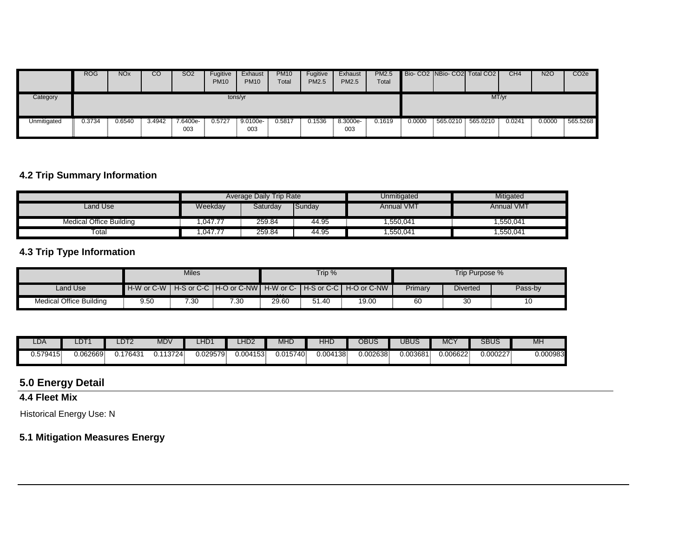|             | <b>ROG</b> | <b>NO<sub>x</sub></b> | CO <sub>.</sub> | SO <sub>2</sub> | Fugitive<br><b>PM10</b> | Exhaust<br><b>PM10</b> | <b>PM10</b><br>Total | Fugitive<br><b>PM2.5</b> | Exhaust<br><b>PM2.5</b> | <b>PM2.5</b><br>Total |        |          | Bio- CO2   NBio- CO2   Total CO2 | CH4    | N <sub>2</sub> C | CO <sub>2e</sub> |
|-------------|------------|-----------------------|-----------------|-----------------|-------------------------|------------------------|----------------------|--------------------------|-------------------------|-----------------------|--------|----------|----------------------------------|--------|------------------|------------------|
| Category    |            |                       |                 |                 | tons/yr                 |                        |                      |                          |                         |                       |        |          | MT/yr                            |        |                  |                  |
| Unmitigated | ህ.3734     | 0.6540                | 3.4942          | 7.6400e-<br>003 | 0.5727                  | 9.0100e-<br>003        | 0.5817               | 0.1536                   | 8.3000e-<br>003         | 0.1619                | 0.0000 | 565.0210 | 565.0210                         | 0.0241 | 0.0000           | 565.5268         |

#### **4.2 Trip Summary Information**

|                         |         | Average Daily Trip Rate |        | Unmitigated       | Mitigated         |
|-------------------------|---------|-------------------------|--------|-------------------|-------------------|
| Land Use                | Weekday | Saturday                | Sunday | <b>Annual VMT</b> | <b>Annual VMT</b> |
| Medical Office Building | .047.77 | 259.84                  | 44.95  | .550.041          | 1,550,041         |
| $\tau_{\textrm{otal}}$  | .047.77 | 259.84                  | 44.95  | ,550,041          | 550,041,          |

## **4.3 Trip Type Information**

|                                |      | Miles |      |          | Trip % |                                                                        |         | Trip Purpose %  |         |
|--------------------------------|------|-------|------|----------|--------|------------------------------------------------------------------------|---------|-----------------|---------|
| Land Use                       |      |       |      | $\cdots$ |        | H-W or C-W LH-S or C-C LH-O or C-NW LH-W or C-LH-S or C-C LH-O or C-NW | Primary | <b>Diverted</b> | Pass-by |
| <b>Medical Office Building</b> | 9.50 | 7.30  | 7.30 | 29.60    | 51.40  | 19.00                                                                  | 60      | $\sim$<br>ა∪    | 10      |

| $\Box$ DA | ∼         | DT2                  | <b>MDV</b> | ∴ירחי<br>∠⊓∟ | LHD2     | MHI      | 11 H<br>┒⊓แ | OBUS    | UBUS     | <b>MC</b> | <b>SBUS</b> | MH       |
|-----------|-----------|----------------------|------------|--------------|----------|----------|-------------|---------|----------|-----------|-------------|----------|
| J.579415  | J.062669F | 17643<br>$U \cdot I$ | 13724      | 0.029579     | 0.004153 | 0.015740 | 0.004138    | 0.02638 | J.003681 | 0.006622  | 0.000227    | J.000983 |

## **5.0 Energy Detail**

## **4.4 Fleet Mix**

Historical Energy Use: N

## **5.1 Mitigation Measures Energy**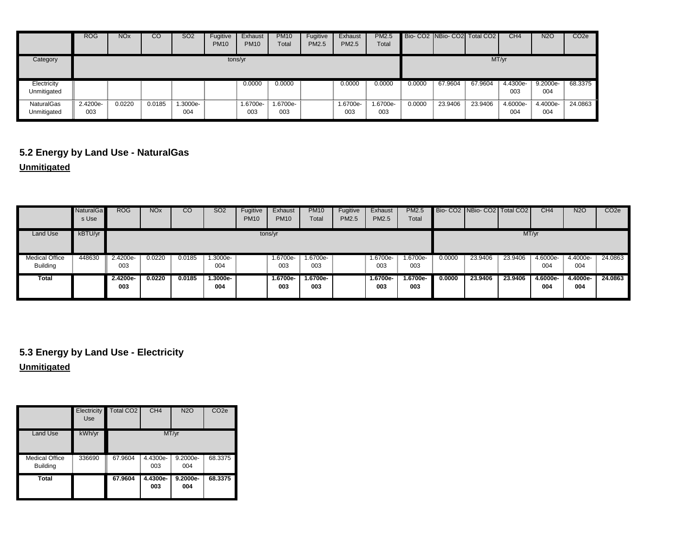|                            | <b>ROG</b>      | <b>NO<sub>x</sub></b> | $\overline{c}$ | <b>SO2</b>      | Fugitive<br><b>PM10</b> | Exhaust<br><b>PM10</b> | <b>PM10</b><br>Total | Fugitive<br>PM2.5 | Exhaust<br><b>PM2.5</b> | <b>PM2.5</b><br>Total |        |         | Bio- CO2   NBio- CO2   Total CO2 | CH4             | <b>N2O</b>         | CO <sub>2e</sub> |
|----------------------------|-----------------|-----------------------|----------------|-----------------|-------------------------|------------------------|----------------------|-------------------|-------------------------|-----------------------|--------|---------|----------------------------------|-----------------|--------------------|------------------|
| Category                   |                 |                       |                |                 |                         | tons/yr                |                      |                   |                         |                       |        |         |                                  | MT/yr           |                    |                  |
| Electricity<br>Unmitigated |                 |                       |                |                 |                         | 0.0000                 | 0.0000               |                   | 0.0000                  | 0.0000                | 0.0000 | 67.9604 | 67.9604                          | 4.4300e-<br>003 | $9.2000e -$<br>004 | 68.3375          |
| NaturalGas<br>Unmitigated  | 2.4200e-<br>003 | 0.0220                | 0.0185         | 1.3000e-<br>004 |                         | 1.6700e-<br>003        | 1.6700e-<br>003      |                   | 1.6700e-<br>003         | -6700e.<br>003        | 0.0000 | 23.9406 | 23.9406                          | 4.6000e-<br>004 | 4.4000e-<br>004    | 24.0863          |

## **5.2 Energy by Land Use - NaturalGas**

**Unmitigated**

|                                          | <b>NaturalGa</b><br>s Use | <b>ROG</b>      | NO <sub>x</sub> | <b>CO</b> | <b>SO2</b>      | Fugitive<br><b>PM10</b> | Exhaust<br><b>PM10</b> | <b>PM10</b><br>Total | Fugitive<br>PM2.5 | Exhaust<br>PM2.5 | <b>PM2.5</b><br>Total |        | Bio- CO <sub>2</sub> NBio- CO <sub>2</sub> Total CO <sub>2</sub> |         | CH <sub>4</sub> | <b>N2O</b>      | CO <sub>2e</sub> |
|------------------------------------------|---------------------------|-----------------|-----------------|-----------|-----------------|-------------------------|------------------------|----------------------|-------------------|------------------|-----------------------|--------|------------------------------------------------------------------|---------|-----------------|-----------------|------------------|
| Land Use                                 | kBTU/yr                   |                 |                 |           |                 |                         | tons/yr                |                      |                   |                  |                       |        |                                                                  |         | MT/yr           |                 |                  |
| <b>Medical Office</b><br><b>Building</b> | 448630                    | 2.4200e-<br>003 | 0.0220          | 0.0185    | 1.3000e-<br>004 |                         | 1.6700e-<br>003        | 1.6700e-<br>003      |                   | 1.6700e-<br>003  | 1.6700e-<br>003       | 0.0000 | 23.9406                                                          | 23.9406 | 4.6000e-<br>004 | 4.4000e-<br>004 | 24.0863          |
| Total                                    |                           | 2.4200e-<br>003 | 0.0220          | 0.0185    | 1.3000e-<br>004 |                         | 1.6700e-<br>003        | 1.6700e-<br>003      |                   | 1.6700e-<br>003  | -.6700e<br>003        | 0.0000 | 23.9406                                                          | 23.9406 | 4.6000e-<br>004 | 4.4000e-<br>004 | 24.0863          |

**Unmitigated 5.3 Energy by Land Use - Electricity**

|                                          | Electricity<br>Use | <b>Total CO2</b>       | CH4             | <b>N2O</b>      | CO <sub>2e</sub> |
|------------------------------------------|--------------------|------------------------|-----------------|-----------------|------------------|
| Land Use                                 | kWh/yr             |                        |                 | MT/yr           |                  |
| <b>Medical Office</b><br><b>Building</b> | 336690             | I<br>67.9604<br>τ<br>E | 4.4300e-<br>003 | 9.2000e-<br>004 | 68.3375          |
| Total                                    |                    | 67.9604                | 4.4300e-<br>003 | 9.2000e-<br>004 | 68.3375          |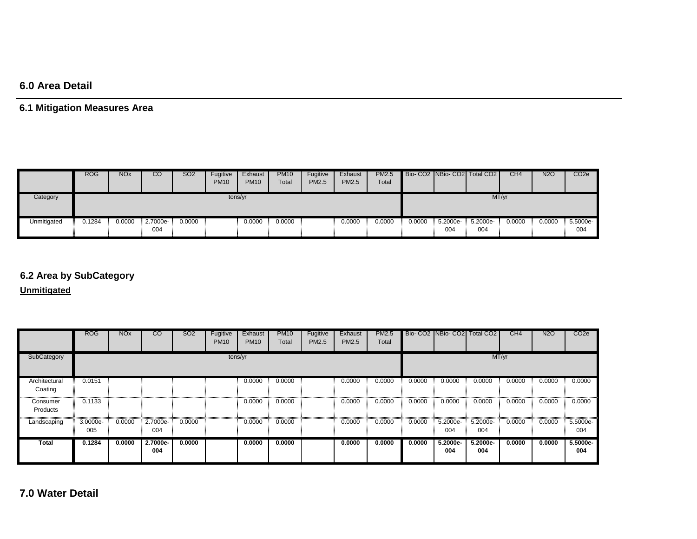## **6.0 Area Detail**

## **6.1 Mitigation Measures Area**

|             | <b>ROG</b> | <b>NO<sub>x</sub></b> | CO              | <b>SO2</b> | Fugitive<br><b>PM10</b> | Exhaust<br><b>PM10</b> | <b>PM10</b><br>Total | Fugitive<br><b>PM2.5</b> | Exhaust<br><b>PM2.5</b> | <b>PM2.5</b><br>Total |        |                 | Bio-CO2 NBio-CO2 Total CO2 | CH4    | <b>N2O</b> | CO <sub>2</sub> e |
|-------------|------------|-----------------------|-----------------|------------|-------------------------|------------------------|----------------------|--------------------------|-------------------------|-----------------------|--------|-----------------|----------------------------|--------|------------|-------------------|
| Category    |            |                       |                 |            | tons/yr                 |                        |                      |                          |                         |                       |        |                 | MT/yr                      |        |            |                   |
| Unmitigated | 0.1284     | 0.0000                | 2.7000e-<br>004 | 0.0000     |                         | 0.0000                 | 0.0000               |                          | 0.0000                  | 0.0000                | 0.0000 | 5.2000e-<br>004 | 5.2000e-<br>004            | 0.0000 | 0.0000     | 5.5000e-<br>004   |

# **6.2 Area by SubCategory**

**Unmitigated**

|                          | <b>ROG</b>      | <b>NO<sub>x</sub></b> | CO              | SO <sub>2</sub> | Fugitive<br><b>PM10</b> | Exhaust<br><b>PM10</b> | <b>PM10</b><br>Total | Fugitive<br>PM2.5 | Exhaust<br><b>PM2.5</b> | <b>PM2.5</b><br>Total |        | Bio- CO2 NBio- CO2 Total CO2 |                    | CH4    | <b>N2O</b> | CO <sub>2</sub> e |
|--------------------------|-----------------|-----------------------|-----------------|-----------------|-------------------------|------------------------|----------------------|-------------------|-------------------------|-----------------------|--------|------------------------------|--------------------|--------|------------|-------------------|
| SubCategory              |                 |                       |                 |                 | tons/yr                 |                        |                      |                   |                         |                       |        |                              |                    | MT/yr  |            |                   |
| Architectural<br>Coating | 0.0151          |                       |                 |                 |                         | 0.0000                 | 0.0000               |                   | 0.0000                  | 0.0000                | 0.0000 | 0.0000                       | 0.0000             | 0.0000 | 0.0000     | 0.0000            |
| Consumer<br>Products     | 0.1133          |                       |                 |                 |                         | 0.0000                 | 0.0000               |                   | 0.0000                  | 0.0000                | 0.0000 | 0.0000                       | 0.0000             | 0.0000 | 0.0000     | 0.0000            |
| Landscaping              | 3.0000e-<br>005 | 0.0000                | 2.7000e-<br>004 | 0.0000          |                         | 0.0000                 | 0.0000               |                   | 0.0000                  | 0.0000                | 0.0000 | 5.2000e-<br>004              | 5.2000e-<br>004    | 0.0000 | 0.0000     | 5.5000e-<br>004   |
| Total                    | 0.1284          | 0.0000                | 2.7000e-<br>004 | 0.0000          |                         | 0.0000                 | 0.0000               |                   | 0.0000                  | 0.0000                | 0.0000 | 5.2000e-<br>004              | $5.2000e -$<br>004 | 0.0000 | 0.0000     | 5.5000e-<br>004   |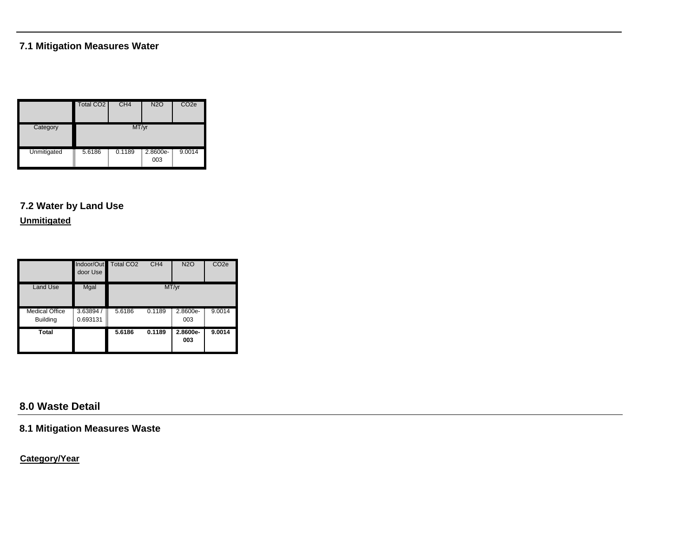## **7.1 Mitigation Measures Water**

|             | Total CO <sub>2</sub> | CH <sub>4</sub> | <b>N2O</b>      | CO <sub>2e</sub> |
|-------------|-----------------------|-----------------|-----------------|------------------|
| Category    |                       | MT/yr           |                 |                  |
| Unmitigated | I<br>5.6186<br>ī      | 0.1189          | 2.8600e-<br>003 | 9.0014           |

## **7.2 Water by Land Use**

**Unmitigated**

|                                          | Indoor/Out<br>door Use   | Total CO <sub>2</sub> | CH <sub>4</sub> | <b>N2O</b>      | CO <sub>2e</sub> |
|------------------------------------------|--------------------------|-----------------------|-----------------|-----------------|------------------|
| Land Use                                 | Mgal                     |                       |                 | MT/yr           |                  |
| <b>Medical Office</b><br><b>Building</b> | Ī<br>3.63894<br>0.693131 | 5.6186<br>Ī           | 0.1189          | 2.8600e-<br>003 | 9.0014           |
| Total                                    |                          | 5.6186                | 0.1189          | 2.8600e-<br>003 | 9.0014           |

## **8.0 Waste Detail**

**8.1 Mitigation Measures Waste**

**Category/Year**